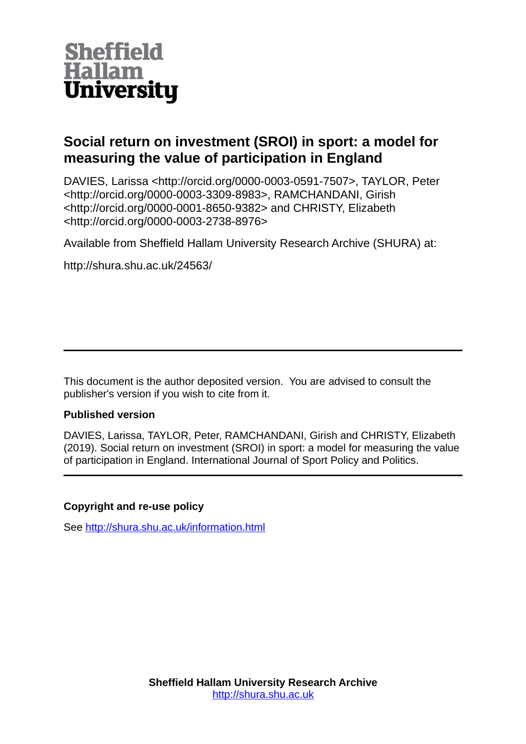

# **Social return on investment (SROI) in sport: a model for measuring the value of participation in England**

DAVIES, Larissa <http://orcid.org/0000-0003-0591-7507>, TAYLOR, Peter <http://orcid.org/0000-0003-3309-8983>, RAMCHANDANI, Girish <http://orcid.org/0000-0001-8650-9382> and CHRISTY, Elizabeth <http://orcid.org/0000-0003-2738-8976>

Available from Sheffield Hallam University Research Archive (SHURA) at:

http://shura.shu.ac.uk/24563/

This document is the author deposited version. You are advised to consult the publisher's version if you wish to cite from it.

# **Published version**

DAVIES, Larissa, TAYLOR, Peter, RAMCHANDANI, Girish and CHRISTY, Elizabeth (2019). Social return on investment (SROI) in sport: a model for measuring the value of participation in England. International Journal of Sport Policy and Politics.

# **Copyright and re-use policy**

See<http://shura.shu.ac.uk/information.html>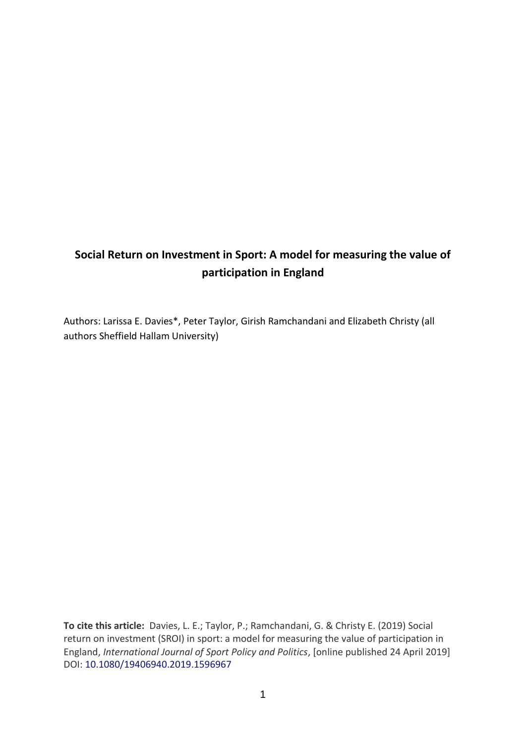# **Social Return on Investment in Sport: A model for measuring the value of participation in England**

Authors: Larissa E. Davies\*, Peter Taylor, Girish Ramchandani and Elizabeth Christy (all authors Sheffield Hallam University)

**To cite this article:** Davies, L. E.; Taylor, P.; Ramchandani, G. & Christy E. (2019) Social return on investment (SROI) in sport: a model for measuring the value of participation in England, *International Journal of Sport Policy and Politics*, [online published 24 April 2019] DOI: [10.1080/19406940.2019.1596967](https://doi.org/10.1080/19406940.2019.1596967)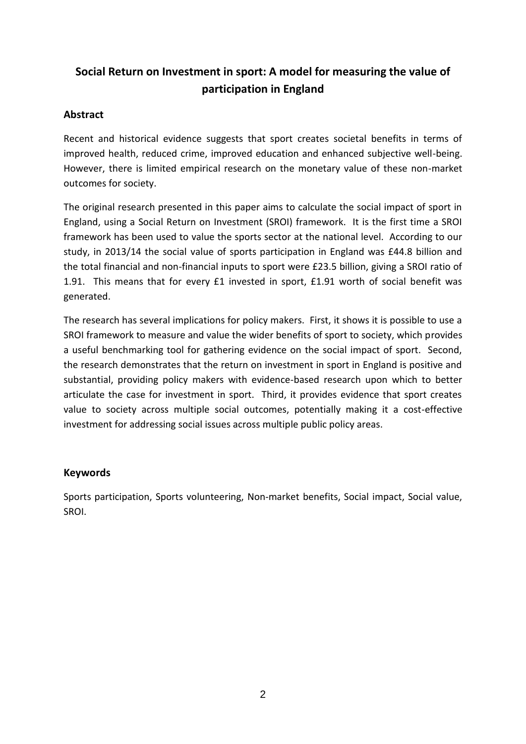# **Social Return on Investment in sport: A model for measuring the value of participation in England**

# **Abstract**

Recent and historical evidence suggests that sport creates societal benefits in terms of improved health, reduced crime, improved education and enhanced subjective well-being. However, there is limited empirical research on the monetary value of these non-market outcomes for society.

The original research presented in this paper aims to calculate the social impact of sport in England, using a Social Return on Investment (SROI) framework. It is the first time a SROI framework has been used to value the sports sector at the national level. According to our study, in 2013/14 the social value of sports participation in England was £44.8 billion and the total financial and non-financial inputs to sport were £23.5 billion, giving a SROI ratio of 1.91. This means that for every £1 invested in sport, £1.91 worth of social benefit was generated.

The research has several implications for policy makers. First, it shows it is possible to use a SROI framework to measure and value the wider benefits of sport to society, which provides a useful benchmarking tool for gathering evidence on the social impact of sport. Second, the research demonstrates that the return on investment in sport in England is positive and substantial, providing policy makers with evidence-based research upon which to better articulate the case for investment in sport. Third, it provides evidence that sport creates value to society across multiple social outcomes, potentially making it a cost-effective investment for addressing social issues across multiple public policy areas.

# **Keywords**

Sports participation, Sports volunteering, Non-market benefits, Social impact, Social value, SROI.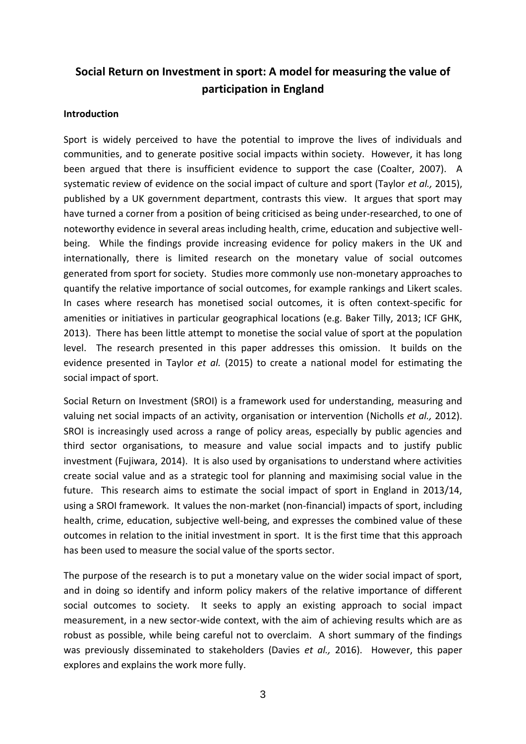# **Social Return on Investment in sport: A model for measuring the value of participation in England**

#### **Introduction**

Sport is widely perceived to have the potential to improve the lives of individuals and communities, and to generate positive social impacts within society. However, it has long been argued that there is insufficient evidence to support the case (Coalter, 2007). A systematic review of evidence on the social impact of culture and sport (Taylor *et al.,* 2015), published by a UK government department, contrasts this view. It argues that sport may have turned a corner from a position of being criticised as being under-researched, to one of noteworthy evidence in several areas including health, crime, education and subjective wellbeing. While the findings provide increasing evidence for policy makers in the UK and internationally, there is limited research on the monetary value of social outcomes generated from sport for society. Studies more commonly use non-monetary approaches to quantify the relative importance of social outcomes, for example rankings and Likert scales. In cases where research has monetised social outcomes, it is often context-specific for amenities or initiatives in particular geographical locations (e.g. Baker Tilly, 2013; ICF GHK, 2013). There has been little attempt to monetise the social value of sport at the population level. The research presented in this paper addresses this omission. It builds on the evidence presented in Taylor *et al.* (2015) to create a national model for estimating the social impact of sport.

Social Return on Investment (SROI) is a framework used for understanding, measuring and valuing net social impacts of an activity, organisation or intervention (Nicholls *et al.,* 2012). SROI is increasingly used across a range of policy areas, especially by public agencies and third sector organisations, to measure and value social impacts and to justify public investment (Fujiwara, 2014). It is also used by organisations to understand where activities create social value and as a strategic tool for planning and maximising social value in the future. This research aims to estimate the social impact of sport in England in 2013/14, using a SROI framework. It values the non-market (non-financial) impacts of sport, including health, crime, education, subjective well-being, and expresses the combined value of these outcomes in relation to the initial investment in sport. It is the first time that this approach has been used to measure the social value of the sports sector.

The purpose of the research is to put a monetary value on the wider social impact of sport, and in doing so identify and inform policy makers of the relative importance of different social outcomes to society. It seeks to apply an existing approach to social impact measurement, in a new sector-wide context, with the aim of achieving results which are as robust as possible, while being careful not to overclaim. A short summary of the findings was previously disseminated to stakeholders (Davies *et al.,* 2016). However, this paper explores and explains the work more fully.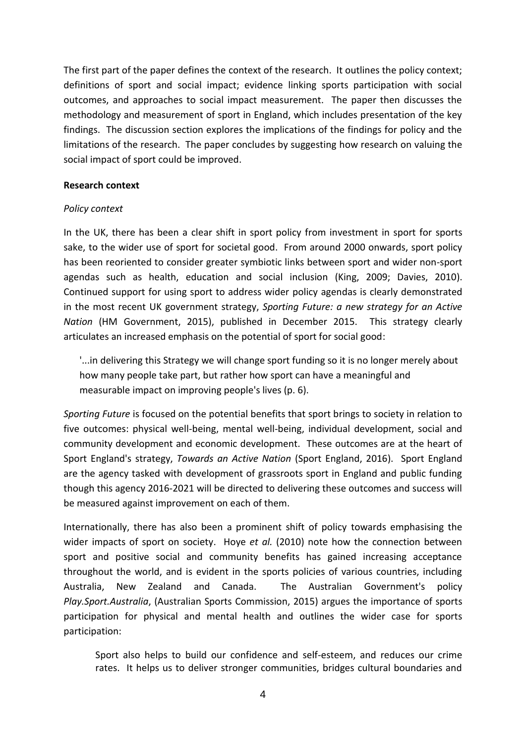The first part of the paper defines the context of the research. It outlines the policy context; definitions of sport and social impact; evidence linking sports participation with social outcomes, and approaches to social impact measurement. The paper then discusses the methodology and measurement of sport in England, which includes presentation of the key findings. The discussion section explores the implications of the findings for policy and the limitations of the research. The paper concludes by suggesting how research on valuing the social impact of sport could be improved.

### **Research context**

### *Policy context*

In the UK, there has been a clear shift in sport policy from investment in sport for sports sake, to the wider use of sport for societal good. From around 2000 onwards, sport policy has been reoriented to consider greater symbiotic links between sport and wider non-sport agendas such as health, education and social inclusion (King, 2009; Davies, 2010). Continued support for using sport to address wider policy agendas is clearly demonstrated in the most recent UK government strategy, *Sporting Future: a new strategy for an Active Nation* (HM Government, 2015), published in December 2015. This strategy clearly articulates an increased emphasis on the potential of sport for social good:

'...in delivering this Strategy we will change sport funding so it is no longer merely about how many people take part, but rather how sport can have a meaningful and measurable impact on improving people's lives (p. 6).

*Sporting Future* is focused on the potential benefits that sport brings to society in relation to five outcomes: physical well-being, mental well-being, individual development, social and community development and economic development. These outcomes are at the heart of Sport England's strategy, *Towards an Active Nation* (Sport England, 2016). Sport England are the agency tasked with development of grassroots sport in England and public funding though this agency 2016-2021 will be directed to delivering these outcomes and success will be measured against improvement on each of them.

Internationally, there has also been a prominent shift of policy towards emphasising the wider impacts of sport on society. Hoye *et al.* (2010) note how the connection between sport and positive social and community benefits has gained increasing acceptance throughout the world, and is evident in the sports policies of various countries, including Australia, New Zealand and Canada. The Australian Government's policy *Play.Sport.Australia*, (Australian Sports Commission, 2015) argues the importance of sports participation for physical and mental health and outlines the wider case for sports participation:

Sport also helps to build our confidence and self-esteem, and reduces our crime rates. It helps us to deliver stronger communities, bridges cultural boundaries and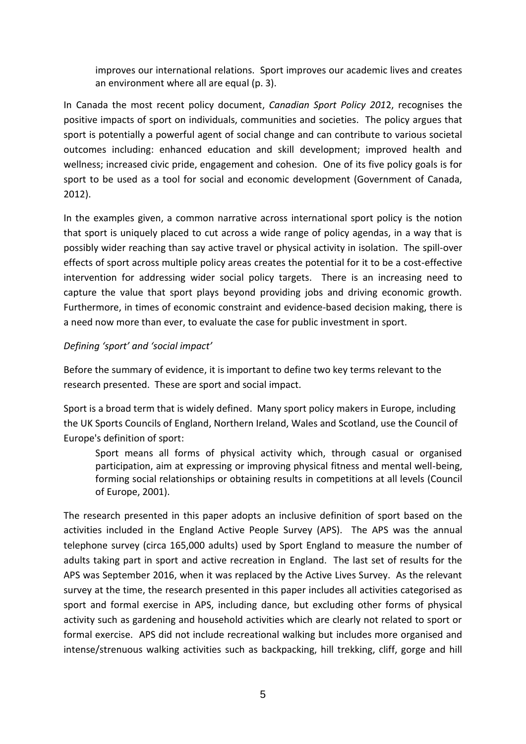improves our international relations. Sport improves our academic lives and creates an environment where all are equal (p. 3).

In Canada the most recent policy document, *Canadian Sport Policy 201*2, recognises the positive impacts of sport on individuals, communities and societies. The policy argues that sport is potentially a powerful agent of social change and can contribute to various societal outcomes including: enhanced education and skill development; improved health and wellness; increased civic pride, engagement and cohesion. One of its five policy goals is for sport to be used as a tool for social and economic development (Government of Canada, 2012).

In the examples given, a common narrative across international sport policy is the notion that sport is uniquely placed to cut across a wide range of policy agendas, in a way that is possibly wider reaching than say active travel or physical activity in isolation. The spill-over effects of sport across multiple policy areas creates the potential for it to be a cost-effective intervention for addressing wider social policy targets. There is an increasing need to capture the value that sport plays beyond providing jobs and driving economic growth. Furthermore, in times of economic constraint and evidence-based decision making, there is a need now more than ever, to evaluate the case for public investment in sport.

### *Defining 'sport' and 'social impact'*

Before the summary of evidence, it is important to define two key terms relevant to the research presented. These are sport and social impact.

Sport is a broad term that is widely defined. Many sport policy makers in Europe, including the UK Sports Councils of England, Northern Ireland, Wales and Scotland, use the Council of Europe's definition of sport:

Sport means all forms of physical activity which, through casual or organised participation, aim at expressing or improving physical fitness and mental well-being, forming social relationships or obtaining results in competitions at all levels (Council of Europe, 2001).

The research presented in this paper adopts an inclusive definition of sport based on the activities included in the England Active People Survey (APS). The APS was the annual telephone survey (circa 165,000 adults) used by Sport England to measure the number of adults taking part in sport and active recreation in England. The last set of results for the APS was September 2016, when it was replaced by the Active Lives Survey. As the relevant survey at the time, the research presented in this paper includes all activities categorised as sport and formal exercise in APS, including dance, but excluding other forms of physical activity such as gardening and household activities which are clearly not related to sport or formal exercise. APS did not include recreational walking but includes more organised and intense/strenuous walking activities such as backpacking, hill trekking, cliff, gorge and hill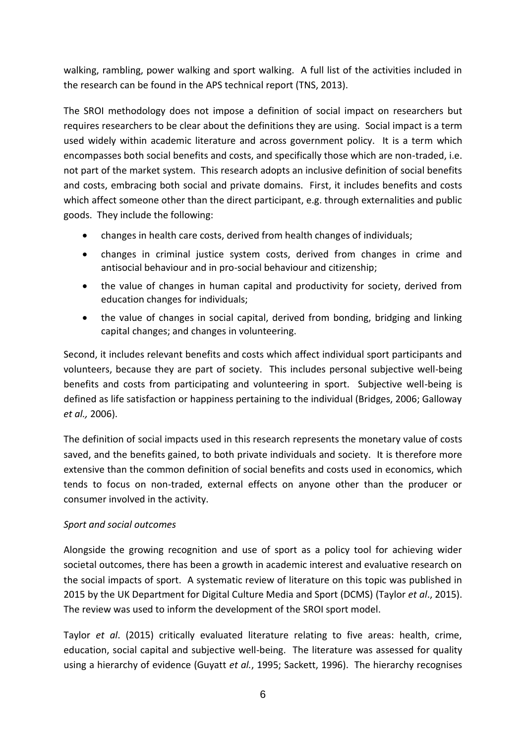walking, rambling, power walking and sport walking. A full list of the activities included in the research can be found in the APS technical report (TNS, 2013).

The SROI methodology does not impose a definition of social impact on researchers but requires researchers to be clear about the definitions they are using. Social impact is a term used widely within academic literature and across government policy. It is a term which encompasses both social benefits and costs, and specifically those which are non-traded, i.e. not part of the market system. This research adopts an inclusive definition of social benefits and costs, embracing both social and private domains. First, it includes benefits and costs which affect someone other than the direct participant, e.g. through externalities and public goods. They include the following:

- changes in health care costs, derived from health changes of individuals;
- changes in criminal justice system costs, derived from changes in crime and antisocial behaviour and in pro-social behaviour and citizenship;
- the value of changes in human capital and productivity for society, derived from education changes for individuals;
- the value of changes in social capital, derived from bonding, bridging and linking capital changes; and changes in volunteering.

Second, it includes relevant benefits and costs which affect individual sport participants and volunteers, because they are part of society. This includes personal subjective well-being benefits and costs from participating and volunteering in sport. Subjective well-being is defined as life satisfaction or happiness pertaining to the individual (Bridges, 2006; Galloway *et al.,* 2006).

The definition of social impacts used in this research represents the monetary value of costs saved, and the benefits gained, to both private individuals and society. It is therefore more extensive than the common definition of social benefits and costs used in economics, which tends to focus on non-traded, external effects on anyone other than the producer or consumer involved in the activity.

# *Sport and social outcomes*

Alongside the growing recognition and use of sport as a policy tool for achieving wider societal outcomes, there has been a growth in academic interest and evaluative research on the social impacts of sport. A systematic review of literature on this topic was published in 2015 by the UK Department for Digital Culture Media and Sport (DCMS) (Taylor *et al*., 2015). The review was used to inform the development of the SROI sport model.

Taylor *et al*. (2015) critically evaluated literature relating to five areas: health, crime, education, social capital and subjective well-being. The literature was assessed for quality using a hierarchy of evidence (Guyatt *et al.*, 1995; Sackett, 1996). The hierarchy recognises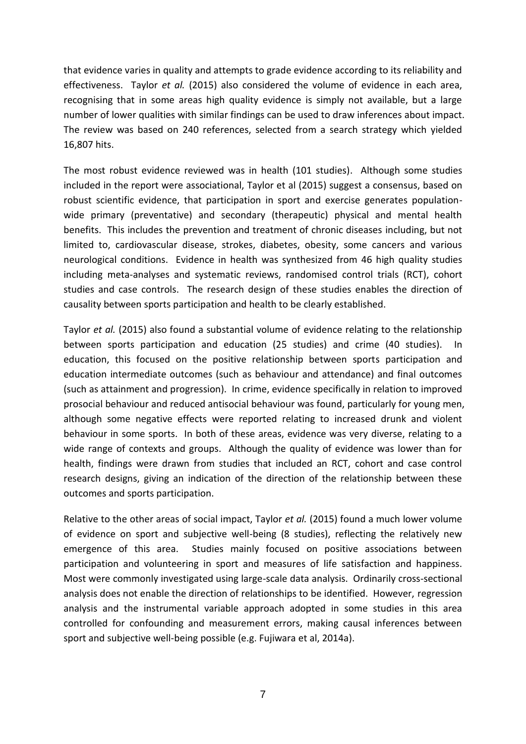that evidence varies in quality and attempts to grade evidence according to its reliability and effectiveness. Taylor *et al.* (2015) also considered the volume of evidence in each area, recognising that in some areas high quality evidence is simply not available, but a large number of lower qualities with similar findings can be used to draw inferences about impact. The review was based on 240 references, selected from a search strategy which yielded 16,807 hits.

The most robust evidence reviewed was in health (101 studies). Although some studies included in the report were associational, Taylor et al (2015) suggest a consensus, based on robust scientific evidence, that participation in sport and exercise generates populationwide primary (preventative) and secondary (therapeutic) physical and mental health benefits. This includes the prevention and treatment of chronic diseases including, but not limited to, cardiovascular disease, strokes, diabetes, obesity, some cancers and various neurological conditions. Evidence in health was synthesized from 46 high quality studies including meta-analyses and systematic reviews, randomised control trials (RCT), cohort studies and case controls. The research design of these studies enables the direction of causality between sports participation and health to be clearly established.

Taylor *et al.* (2015) also found a substantial volume of evidence relating to the relationship between sports participation and education (25 studies) and crime (40 studies). In education, this focused on the positive relationship between sports participation and education intermediate outcomes (such as behaviour and attendance) and final outcomes (such as attainment and progression). In crime, evidence specifically in relation to improved prosocial behaviour and reduced antisocial behaviour was found, particularly for young men, although some negative effects were reported relating to increased drunk and violent behaviour in some sports. In both of these areas, evidence was very diverse, relating to a wide range of contexts and groups. Although the quality of evidence was lower than for health, findings were drawn from studies that included an RCT, cohort and case control research designs, giving an indication of the direction of the relationship between these outcomes and sports participation.

Relative to the other areas of social impact, Taylor *et al.* (2015) found a much lower volume of evidence on sport and subjective well-being (8 studies), reflecting the relatively new emergence of this area. Studies mainly focused on positive associations between participation and volunteering in sport and measures of life satisfaction and happiness. Most were commonly investigated using large-scale data analysis. Ordinarily cross-sectional analysis does not enable the direction of relationships to be identified. However, regression analysis and the instrumental variable approach adopted in some studies in this area controlled for confounding and measurement errors, making causal inferences between sport and subjective well-being possible (e.g. Fujiwara et al, 2014a).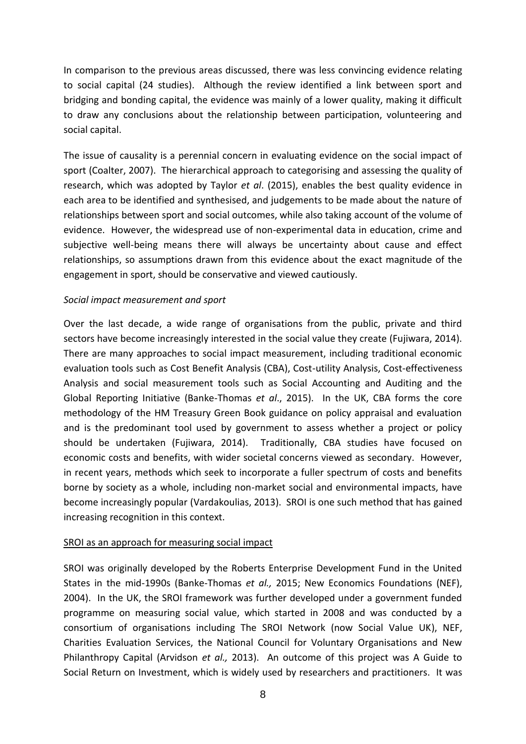In comparison to the previous areas discussed, there was less convincing evidence relating to social capital (24 studies). Although the review identified a link between sport and bridging and bonding capital, the evidence was mainly of a lower quality, making it difficult to draw any conclusions about the relationship between participation, volunteering and social capital.

The issue of causality is a perennial concern in evaluating evidence on the social impact of sport (Coalter, 2007). The hierarchical approach to categorising and assessing the quality of research, which was adopted by Taylor *et al*. (2015), enables the best quality evidence in each area to be identified and synthesised, and judgements to be made about the nature of relationships between sport and social outcomes, while also taking account of the volume of evidence. However, the widespread use of non-experimental data in education, crime and subjective well-being means there will always be uncertainty about cause and effect relationships, so assumptions drawn from this evidence about the exact magnitude of the engagement in sport, should be conservative and viewed cautiously.

#### *Social impact measurement and sport*

Over the last decade, a wide range of organisations from the public, private and third sectors have become increasingly interested in the social value they create (Fujiwara, 2014). There are many approaches to social impact measurement, including traditional economic evaluation tools such as Cost Benefit Analysis (CBA), Cost-utility Analysis, Cost-effectiveness Analysis and social measurement tools such as Social Accounting and Auditing and the Global Reporting Initiative (Banke-Thomas *et al*., 2015). In the UK, CBA forms the core methodology of the HM Treasury Green Book guidance on policy appraisal and evaluation and is the predominant tool used by government to assess whether a project or policy should be undertaken (Fujiwara, 2014). Traditionally, CBA studies have focused on economic costs and benefits, with wider societal concerns viewed as secondary. However, in recent years, methods which seek to incorporate a fuller spectrum of costs and benefits borne by society as a whole, including non-market social and environmental impacts, have become increasingly popular (Vardakoulias, 2013). SROI is one such method that has gained increasing recognition in this context.

#### SROI as an approach for measuring social impact

SROI was originally developed by the Roberts Enterprise Development Fund in the United States in the mid-1990s (Banke-Thomas *et al.,* 2015; New Economics Foundations (NEF), 2004). In the UK, the SROI framework was further developed under a government funded programme on measuring social value, which started in 2008 and was conducted by a consortium of organisations including The SROI Network (now Social Value UK), NEF, Charities Evaluation Services, the National Council for Voluntary Organisations and New Philanthropy Capital (Arvidson *et al.,* 2013). An outcome of this project was A Guide to Social Return on Investment, which is widely used by researchers and practitioners. It was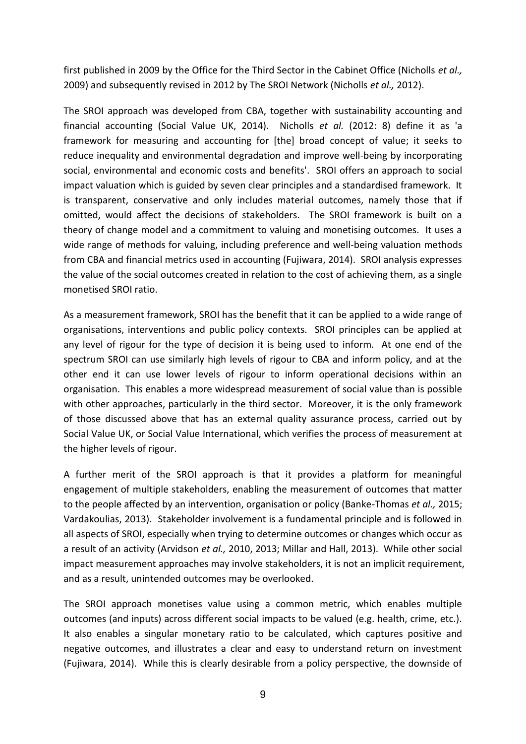first published in 2009 by the Office for the Third Sector in the Cabinet Office (Nicholls *et al.,* 2009) and subsequently revised in 2012 by The SROI Network (Nicholls *et al.,* 2012).

The SROI approach was developed from CBA, together with sustainability accounting and financial accounting (Social Value UK, 2014). Nicholls *et al.* (2012: 8) define it as 'a framework for measuring and accounting for [the] broad concept of value; it seeks to reduce inequality and environmental degradation and improve well-being by incorporating social, environmental and economic costs and benefits'. SROI offers an approach to social impact valuation which is guided by seven clear principles and a standardised framework. It is transparent, conservative and only includes material outcomes, namely those that if omitted, would affect the decisions of stakeholders. The SROI framework is built on a theory of change model and a commitment to valuing and monetising outcomes. It uses a wide range of methods for valuing, including preference and well-being valuation methods from CBA and financial metrics used in accounting (Fujiwara, 2014). SROI analysis expresses the value of the social outcomes created in relation to the cost of achieving them, as a single monetised SROI ratio.

As a measurement framework, SROI has the benefit that it can be applied to a wide range of organisations, interventions and public policy contexts. SROI principles can be applied at any level of rigour for the type of decision it is being used to inform. At one end of the spectrum SROI can use similarly high levels of rigour to CBA and inform policy, and at the other end it can use lower levels of rigour to inform operational decisions within an organisation. This enables a more widespread measurement of social value than is possible with other approaches, particularly in the third sector. Moreover, it is the only framework of those discussed above that has an external quality assurance process, carried out by Social Value UK, or Social Value International, which verifies the process of measurement at the higher levels of rigour.

A further merit of the SROI approach is that it provides a platform for meaningful engagement of multiple stakeholders, enabling the measurement of outcomes that matter to the people affected by an intervention, organisation or policy (Banke-Thomas *et al.,* 2015; Vardakoulias, 2013). Stakeholder involvement is a fundamental principle and is followed in all aspects of SROI, especially when trying to determine outcomes or changes which occur as a result of an activity (Arvidson *et al.,* 2010, 2013; Millar and Hall, 2013). While other social impact measurement approaches may involve stakeholders, it is not an implicit requirement, and as a result, unintended outcomes may be overlooked.

The SROI approach monetises value using a common metric, which enables multiple outcomes (and inputs) across different social impacts to be valued (e.g. health, crime, etc.). It also enables a singular monetary ratio to be calculated, which captures positive and negative outcomes, and illustrates a clear and easy to understand return on investment (Fujiwara, 2014). While this is clearly desirable from a policy perspective, the downside of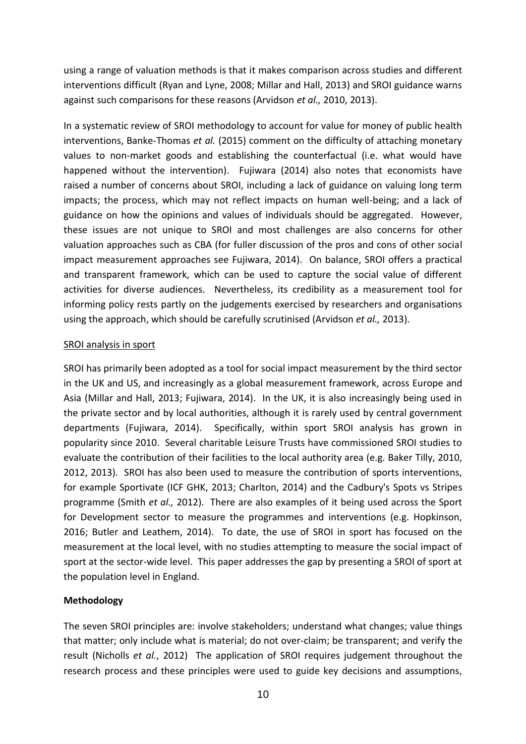using a range of valuation methods is that it makes comparison across studies and different interventions difficult (Ryan and Lyne, 2008; Millar and Hall, 2013) and SROI guidance warns against such comparisons for these reasons (Arvidson *et al.,* 2010, 2013).

In a systematic review of SROI methodology to account for value for money of public health interventions, Banke-Thomas *et al.* (2015) comment on the difficulty of attaching monetary values to non-market goods and establishing the counterfactual (i.e. what would have happened without the intervention). Fujiwara (2014) also notes that economists have raised a number of concerns about SROI, including a lack of guidance on valuing long term impacts; the process, which may not reflect impacts on human well-being; and a lack of guidance on how the opinions and values of individuals should be aggregated. However, these issues are not unique to SROI and most challenges are also concerns for other valuation approaches such as CBA (for fuller discussion of the pros and cons of other social impact measurement approaches see Fujiwara, 2014). On balance, SROI offers a practical and transparent framework, which can be used to capture the social value of different activities for diverse audiences. Nevertheless, its credibility as a measurement tool for informing policy rests partly on the judgements exercised by researchers and organisations using the approach, which should be carefully scrutinised (Arvidson *et al.,* 2013).

### SROI analysis in sport

SROI has primarily been adopted as a tool for social impact measurement by the third sector in the UK and US, and increasingly as a global measurement framework, across Europe and Asia (Millar and Hall, 2013; Fujiwara, 2014). In the UK, it is also increasingly being used in the private sector and by local authorities, although it is rarely used by central government departments (Fujiwara, 2014). Specifically, within sport SROI analysis has grown in popularity since 2010. Several charitable Leisure Trusts have commissioned SROI studies to evaluate the contribution of their facilities to the local authority area (e.g. Baker Tilly, 2010, 2012, 2013). SROI has also been used to measure the contribution of sports interventions, for example Sportivate (ICF GHK, 2013; Charlton, 2014) and the Cadbury's Spots vs Stripes programme (Smith *et al.,* 2012). There are also examples of it being used across the Sport for Development sector to measure the programmes and interventions (e.g. Hopkinson, 2016; Butler and Leathem, 2014). To date, the use of SROI in sport has focused on the measurement at the local level, with no studies attempting to measure the social impact of sport at the sector-wide level. This paper addresses the gap by presenting a SROI of sport at the population level in England.

# **Methodology**

The seven SROI principles are: involve stakeholders; understand what changes; value things that matter; only include what is material; do not over-claim; be transparent; and verify the result (Nicholls *et al.*, 2012) The application of SROI requires judgement throughout the research process and these principles were used to guide key decisions and assumptions,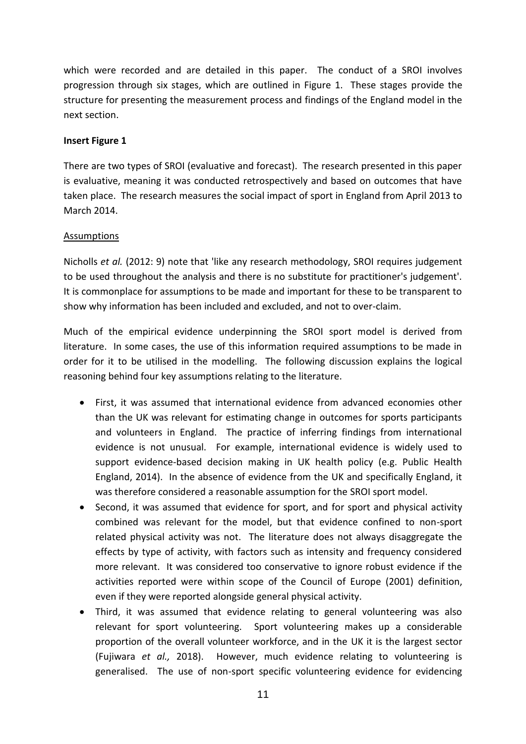which were recorded and are detailed in this paper. The conduct of a SROI involves progression through six stages, which are outlined in Figure 1. These stages provide the structure for presenting the measurement process and findings of the England model in the next section.

### **Insert Figure 1**

There are two types of SROI (evaluative and forecast). The research presented in this paper is evaluative, meaning it was conducted retrospectively and based on outcomes that have taken place. The research measures the social impact of sport in England from April 2013 to March 2014.

# **Assumptions**

Nicholls *et al.* (2012: 9) note that 'like any research methodology, SROI requires judgement to be used throughout the analysis and there is no substitute for practitioner's judgement'. It is commonplace for assumptions to be made and important for these to be transparent to show why information has been included and excluded, and not to over-claim.

Much of the empirical evidence underpinning the SROI sport model is derived from literature. In some cases, the use of this information required assumptions to be made in order for it to be utilised in the modelling. The following discussion explains the logical reasoning behind four key assumptions relating to the literature.

- First, it was assumed that international evidence from advanced economies other than the UK was relevant for estimating change in outcomes for sports participants and volunteers in England. The practice of inferring findings from international evidence is not unusual. For example, international evidence is widely used to support evidence-based decision making in UK health policy (e.g. Public Health England, 2014). In the absence of evidence from the UK and specifically England, it was therefore considered a reasonable assumption for the SROI sport model.
- Second, it was assumed that evidence for sport, and for sport and physical activity combined was relevant for the model, but that evidence confined to non-sport related physical activity was not. The literature does not always disaggregate the effects by type of activity, with factors such as intensity and frequency considered more relevant. It was considered too conservative to ignore robust evidence if the activities reported were within scope of the Council of Europe (2001) definition, even if they were reported alongside general physical activity.
- Third, it was assumed that evidence relating to general volunteering was also relevant for sport volunteering. Sport volunteering makes up a considerable proportion of the overall volunteer workforce, and in the UK it is the largest sector (Fujiwara *et al.,* 2018). However, much evidence relating to volunteering is generalised. The use of non-sport specific volunteering evidence for evidencing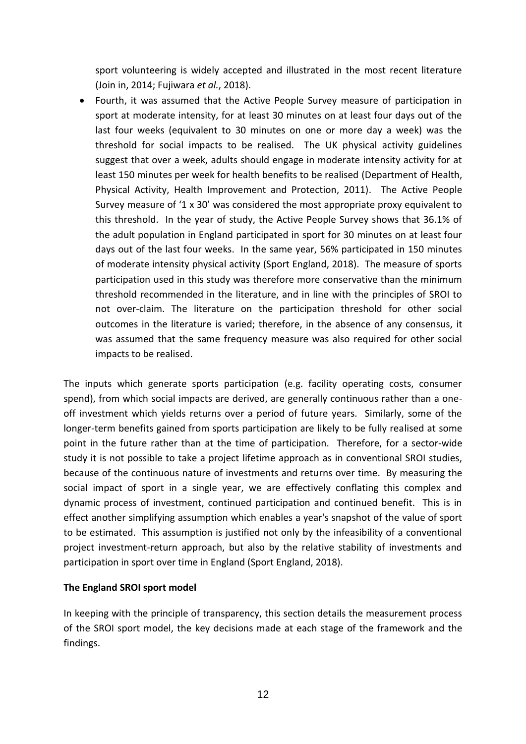sport volunteering is widely accepted and illustrated in the most recent literature (Join in, 2014; Fujiwara *et al.*, 2018).

 Fourth, it was assumed that the Active People Survey measure of participation in sport at moderate intensity, for at least 30 minutes on at least four days out of the last four weeks (equivalent to 30 minutes on one or more day a week) was the threshold for social impacts to be realised. The UK physical activity guidelines suggest that over a week, adults should engage in moderate intensity activity for at least 150 minutes per week for health benefits to be realised (Department of Health, Physical Activity, Health Improvement and Protection, 2011). The Active People Survey measure of '1 x 30' was considered the most appropriate proxy equivalent to this threshold. In the year of study, the Active People Survey shows that 36.1% of the adult population in England participated in sport for 30 minutes on at least four days out of the last four weeks. In the same year, 56% participated in 150 minutes of moderate intensity physical activity (Sport England, 2018). The measure of sports participation used in this study was therefore more conservative than the minimum threshold recommended in the literature, and in line with the principles of SROI to not over-claim. The literature on the participation threshold for other social outcomes in the literature is varied; therefore, in the absence of any consensus, it was assumed that the same frequency measure was also required for other social impacts to be realised.

The inputs which generate sports participation (e.g. facility operating costs, consumer spend), from which social impacts are derived, are generally continuous rather than a oneoff investment which yields returns over a period of future years. Similarly, some of the longer-term benefits gained from sports participation are likely to be fully realised at some point in the future rather than at the time of participation. Therefore, for a sector-wide study it is not possible to take a project lifetime approach as in conventional SROI studies, because of the continuous nature of investments and returns over time. By measuring the social impact of sport in a single year, we are effectively conflating this complex and dynamic process of investment, continued participation and continued benefit. This is in effect another simplifying assumption which enables a year's snapshot of the value of sport to be estimated. This assumption is justified not only by the infeasibility of a conventional project investment-return approach, but also by the relative stability of investments and participation in sport over time in England (Sport England, 2018).

#### **The England SROI sport model**

In keeping with the principle of transparency, this section details the measurement process of the SROI sport model, the key decisions made at each stage of the framework and the findings.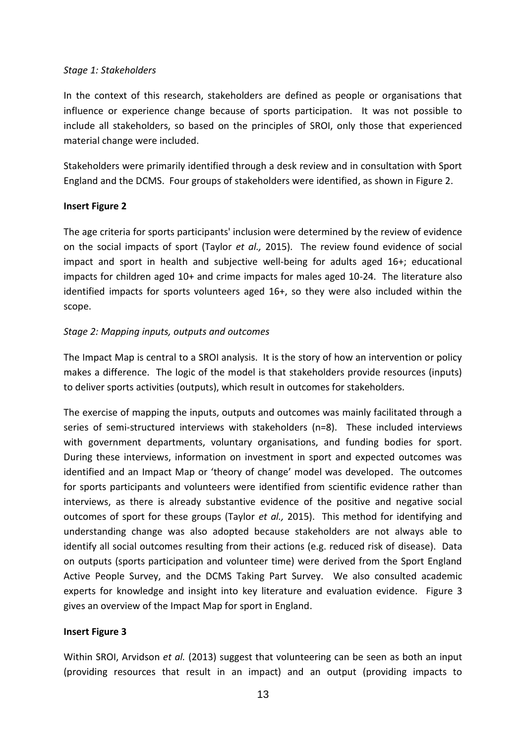### *Stage 1: Stakeholders*

In the context of this research, stakeholders are defined as people or organisations that influence or experience change because of sports participation. It was not possible to include all stakeholders, so based on the principles of SROI, only those that experienced material change were included.

Stakeholders were primarily identified through a desk review and in consultation with Sport England and the DCMS. Four groups of stakeholders were identified, as shown in Figure 2.

# **Insert Figure 2**

The age criteria for sports participants' inclusion were determined by the review of evidence on the social impacts of sport (Taylor *et al.,* 2015). The review found evidence of social impact and sport in health and subjective well-being for adults aged 16+; educational impacts for children aged 10+ and crime impacts for males aged 10-24. The literature also identified impacts for sports volunteers aged 16+, so they were also included within the scope.

### *Stage 2: Mapping inputs, outputs and outcomes*

The Impact Map is central to a SROI analysis. It is the story of how an intervention or policy makes a difference. The logic of the model is that stakeholders provide resources (inputs) to deliver sports activities (outputs), which result in outcomes for stakeholders.

The exercise of mapping the inputs, outputs and outcomes was mainly facilitated through a series of semi-structured interviews with stakeholders (n=8). These included interviews with government departments, voluntary organisations, and funding bodies for sport. During these interviews, information on investment in sport and expected outcomes was identified and an Impact Map or 'theory of change' model was developed. The outcomes for sports participants and volunteers were identified from scientific evidence rather than interviews, as there is already substantive evidence of the positive and negative social outcomes of sport for these groups (Taylor *et al.,* 2015). This method for identifying and understanding change was also adopted because stakeholders are not always able to identify all social outcomes resulting from their actions (e.g. reduced risk of disease). Data on outputs (sports participation and volunteer time) were derived from the Sport England Active People Survey, and the DCMS Taking Part Survey. We also consulted academic experts for knowledge and insight into key literature and evaluation evidence. Figure 3 gives an overview of the Impact Map for sport in England.

# **Insert Figure 3**

Within SROI, Arvidson *et al.* (2013) suggest that volunteering can be seen as both an input (providing resources that result in an impact) and an output (providing impacts to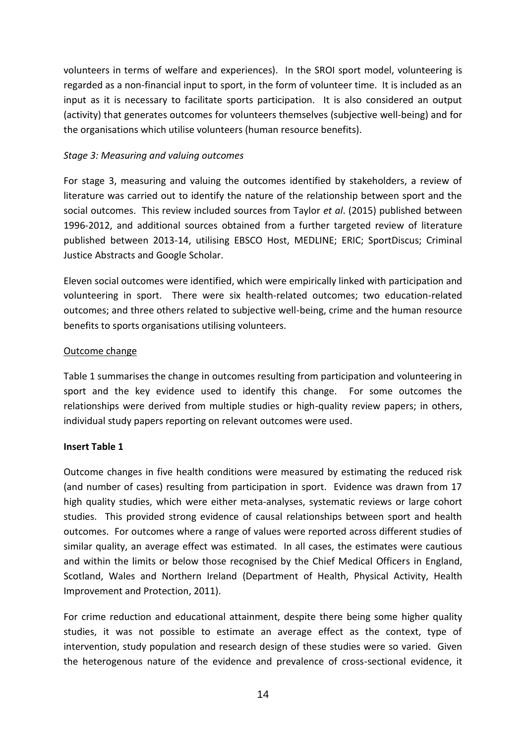volunteers in terms of welfare and experiences). In the SROI sport model, volunteering is regarded as a non-financial input to sport, in the form of volunteer time. It is included as an input as it is necessary to facilitate sports participation. It is also considered an output (activity) that generates outcomes for volunteers themselves (subjective well-being) and for the organisations which utilise volunteers (human resource benefits).

### *Stage 3: Measuring and valuing outcomes*

For stage 3, measuring and valuing the outcomes identified by stakeholders, a review of literature was carried out to identify the nature of the relationship between sport and the social outcomes. This review included sources from Taylor *et al*. (2015) published between 1996-2012, and additional sources obtained from a further targeted review of literature published between 2013-14, utilising EBSCO Host, MEDLINE; ERIC; SportDiscus; Criminal Justice Abstracts and Google Scholar.

Eleven social outcomes were identified, which were empirically linked with participation and volunteering in sport. There were six health-related outcomes; two education-related outcomes; and three others related to subjective well-being, crime and the human resource benefits to sports organisations utilising volunteers.

### Outcome change

Table 1 summarises the change in outcomes resulting from participation and volunteering in sport and the key evidence used to identify this change. For some outcomes the relationships were derived from multiple studies or high-quality review papers; in others, individual study papers reporting on relevant outcomes were used.

#### **Insert Table 1**

Outcome changes in five health conditions were measured by estimating the reduced risk (and number of cases) resulting from participation in sport. Evidence was drawn from 17 high quality studies, which were either meta-analyses, systematic reviews or large cohort studies. This provided strong evidence of causal relationships between sport and health outcomes. For outcomes where a range of values were reported across different studies of similar quality, an average effect was estimated. In all cases, the estimates were cautious and within the limits or below those recognised by the Chief Medical Officers in England, Scotland, Wales and Northern Ireland (Department of Health, Physical Activity, Health Improvement and Protection, 2011).

For crime reduction and educational attainment, despite there being some higher quality studies, it was not possible to estimate an average effect as the context, type of intervention, study population and research design of these studies were so varied. Given the heterogenous nature of the evidence and prevalence of cross-sectional evidence, it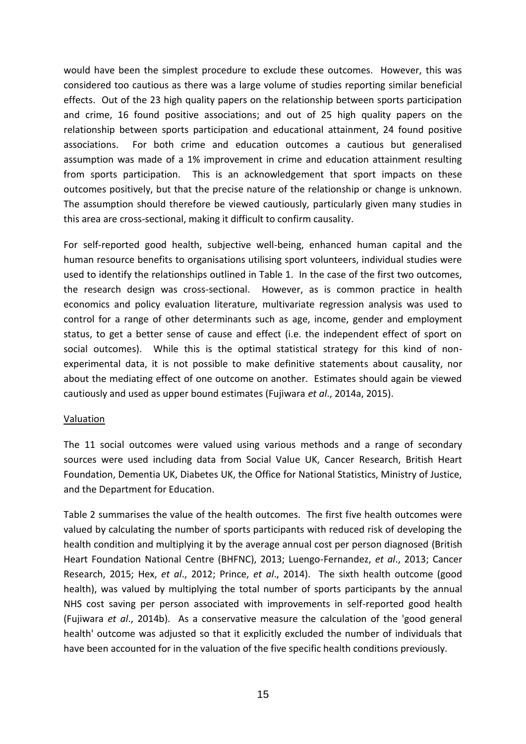would have been the simplest procedure to exclude these outcomes. However, this was considered too cautious as there was a large volume of studies reporting similar beneficial effects. Out of the 23 high quality papers on the relationship between sports participation and crime, 16 found positive associations; and out of 25 high quality papers on the relationship between sports participation and educational attainment, 24 found positive associations. For both crime and education outcomes a cautious but generalised assumption was made of a 1% improvement in crime and education attainment resulting from sports participation. This is an acknowledgement that sport impacts on these outcomes positively, but that the precise nature of the relationship or change is unknown. The assumption should therefore be viewed cautiously, particularly given many studies in this area are cross-sectional, making it difficult to confirm causality.

For self-reported good health, subjective well-being, enhanced human capital and the human resource benefits to organisations utilising sport volunteers, individual studies were used to identify the relationships outlined in Table 1. In the case of the first two outcomes, the research design was cross-sectional. However, as is common practice in health economics and policy evaluation literature, multivariate regression analysis was used to control for a range of other determinants such as age, income, gender and employment status, to get a better sense of cause and effect (i.e. the independent effect of sport on social outcomes). While this is the optimal statistical strategy for this kind of nonexperimental data, it is not possible to make definitive statements about causality, nor about the mediating effect of one outcome on another. Estimates should again be viewed cautiously and used as upper bound estimates (Fujiwara *et al*., 2014a, 2015).

#### Valuation

The 11 social outcomes were valued using various methods and a range of secondary sources were used including data from Social Value UK, Cancer Research, British Heart Foundation, Dementia UK, Diabetes UK, the Office for National Statistics, Ministry of Justice, and the Department for Education.

Table 2 summarises the value of the health outcomes. The first five health outcomes were valued by calculating the number of sports participants with reduced risk of developing the health condition and multiplying it by the average annual cost per person diagnosed (British Heart Foundation National Centre (BHFNC), 2013; Luengo-Fernandez, *et al*., 2013; Cancer Research, 2015; Hex, *et al*., 2012; Prince, *et al*., 2014). The sixth health outcome (good health), was valued by multiplying the total number of sports participants by the annual NHS cost saving per person associated with improvements in self-reported good health (Fujiwara *et al*., 2014b). As a conservative measure the calculation of the 'good general health' outcome was adjusted so that it explicitly excluded the number of individuals that have been accounted for in the valuation of the five specific health conditions previously.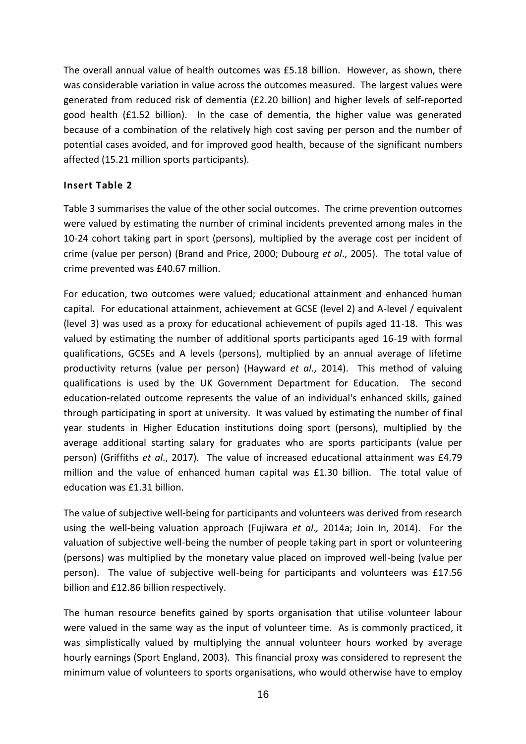The overall annual value of health outcomes was £5.18 billion. However, as shown, there was considerable variation in value across the outcomes measured. The largest values were generated from reduced risk of dementia (£2.20 billion) and higher levels of self-reported good health (£1.52 billion). In the case of dementia, the higher value was generated because of a combination of the relatively high cost saving per person and the number of potential cases avoided, and for improved good health, because of the significant numbers affected (15.21 million sports participants).

## **Insert Table 2**

Table 3 summarises the value of the other social outcomes. The crime prevention outcomes were valued by estimating the number of criminal incidents prevented among males in the 10-24 cohort taking part in sport (persons), multiplied by the average cost per incident of crime (value per person) (Brand and Price, 2000; Dubourg *et al*., 2005). The total value of crime prevented was £40.67 million.

For education, two outcomes were valued; educational attainment and enhanced human capital. For educational attainment, achievement at GCSE (level 2) and A-level / equivalent (level 3) was used as a proxy for educational achievement of pupils aged 11-18. This was valued by estimating the number of additional sports participants aged 16-19 with formal qualifications, GCSEs and A levels (persons), multiplied by an annual average of lifetime productivity returns (value per person) (Hayward *et al*., 2014). This method of valuing qualifications is used by the UK Government Department for Education. The second education-related outcome represents the value of an individual's enhanced skills, gained through participating in sport at university. It was valued by estimating the number of final year students in Higher Education institutions doing sport (persons), multiplied by the average additional starting salary for graduates who are sports participants (value per person) (Griffiths *et al*., 2017). The value of increased educational attainment was £4.79 million and the value of enhanced human capital was £1.30 billion. The total value of education was £1.31 billion.

The value of subjective well-being for participants and volunteers was derived from research using the well-being valuation approach (Fujiwara *et al.,* 2014a; Join In, 2014). For the valuation of subjective well-being the number of people taking part in sport or volunteering (persons) was multiplied by the monetary value placed on improved well-being (value per person). The value of subjective well-being for participants and volunteers was £17.56 billion and £12.86 billion respectively.

The human resource benefits gained by sports organisation that utilise volunteer labour were valued in the same way as the input of volunteer time. As is commonly practiced, it was simplistically valued by multiplying the annual volunteer hours worked by average hourly earnings (Sport England, 2003). This financial proxy was considered to represent the minimum value of volunteers to sports organisations, who would otherwise have to employ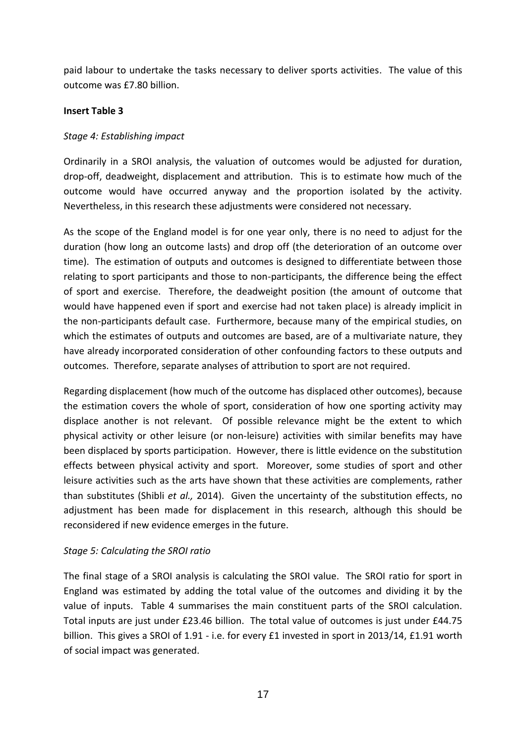paid labour to undertake the tasks necessary to deliver sports activities. The value of this outcome was £7.80 billion.

### **Insert Table 3**

## *Stage 4: Establishing impact*

Ordinarily in a SROI analysis, the valuation of outcomes would be adjusted for duration, drop-off, deadweight, displacement and attribution. This is to estimate how much of the outcome would have occurred anyway and the proportion isolated by the activity. Nevertheless, in this research these adjustments were considered not necessary.

As the scope of the England model is for one year only, there is no need to adjust for the duration (how long an outcome lasts) and drop off (the deterioration of an outcome over time). The estimation of outputs and outcomes is designed to differentiate between those relating to sport participants and those to non-participants, the difference being the effect of sport and exercise. Therefore, the deadweight position (the amount of outcome that would have happened even if sport and exercise had not taken place) is already implicit in the non-participants default case. Furthermore, because many of the empirical studies, on which the estimates of outputs and outcomes are based, are of a multivariate nature, they have already incorporated consideration of other confounding factors to these outputs and outcomes. Therefore, separate analyses of attribution to sport are not required.

Regarding displacement (how much of the outcome has displaced other outcomes), because the estimation covers the whole of sport, consideration of how one sporting activity may displace another is not relevant. Of possible relevance might be the extent to which physical activity or other leisure (or non-leisure) activities with similar benefits may have been displaced by sports participation. However, there is little evidence on the substitution effects between physical activity and sport. Moreover, some studies of sport and other leisure activities such as the arts have shown that these activities are complements, rather than substitutes (Shibli *et al.,* 2014). Given the uncertainty of the substitution effects, no adjustment has been made for displacement in this research, although this should be reconsidered if new evidence emerges in the future.

# *Stage 5: Calculating the SROI ratio*

The final stage of a SROI analysis is calculating the SROI value. The SROI ratio for sport in England was estimated by adding the total value of the outcomes and dividing it by the value of inputs. Table 4 summarises the main constituent parts of the SROI calculation. Total inputs are just under £23.46 billion. The total value of outcomes is just under £44.75 billion. This gives a SROI of 1.91 - i.e. for every £1 invested in sport in 2013/14, £1.91 worth of social impact was generated.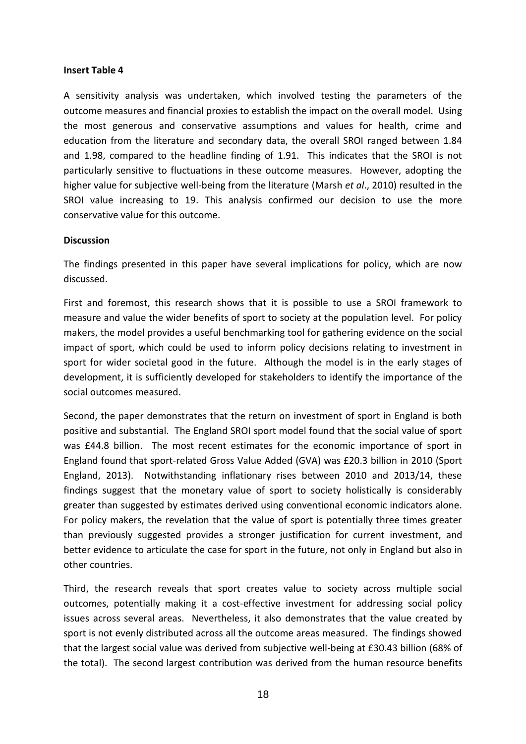#### **Insert Table 4**

A sensitivity analysis was undertaken, which involved testing the parameters of the outcome measures and financial proxies to establish the impact on the overall model. Using the most generous and conservative assumptions and values for health, crime and education from the literature and secondary data, the overall SROI ranged between 1.84 and 1.98, compared to the headline finding of 1.91. This indicates that the SROI is not particularly sensitive to fluctuations in these outcome measures. However, adopting the higher value for subjective well-being from the literature (Marsh *et al*., 2010) resulted in the SROI value increasing to 19. This analysis confirmed our decision to use the more conservative value for this outcome.

#### **Discussion**

The findings presented in this paper have several implications for policy, which are now discussed.

First and foremost, this research shows that it is possible to use a SROI framework to measure and value the wider benefits of sport to society at the population level. For policy makers, the model provides a useful benchmarking tool for gathering evidence on the social impact of sport, which could be used to inform policy decisions relating to investment in sport for wider societal good in the future. Although the model is in the early stages of development, it is sufficiently developed for stakeholders to identify the importance of the social outcomes measured.

Second, the paper demonstrates that the return on investment of sport in England is both positive and substantial. The England SROI sport model found that the social value of sport was £44.8 billion. The most recent estimates for the economic importance of sport in England found that sport-related Gross Value Added (GVA) was £20.3 billion in 2010 (Sport England, 2013). Notwithstanding inflationary rises between 2010 and 2013/14, these findings suggest that the monetary value of sport to society holistically is considerably greater than suggested by estimates derived using conventional economic indicators alone. For policy makers, the revelation that the value of sport is potentially three times greater than previously suggested provides a stronger justification for current investment, and better evidence to articulate the case for sport in the future, not only in England but also in other countries.

Third, the research reveals that sport creates value to society across multiple social outcomes, potentially making it a cost-effective investment for addressing social policy issues across several areas. Nevertheless, it also demonstrates that the value created by sport is not evenly distributed across all the outcome areas measured. The findings showed that the largest social value was derived from subjective well-being at £30.43 billion (68% of the total). The second largest contribution was derived from the human resource benefits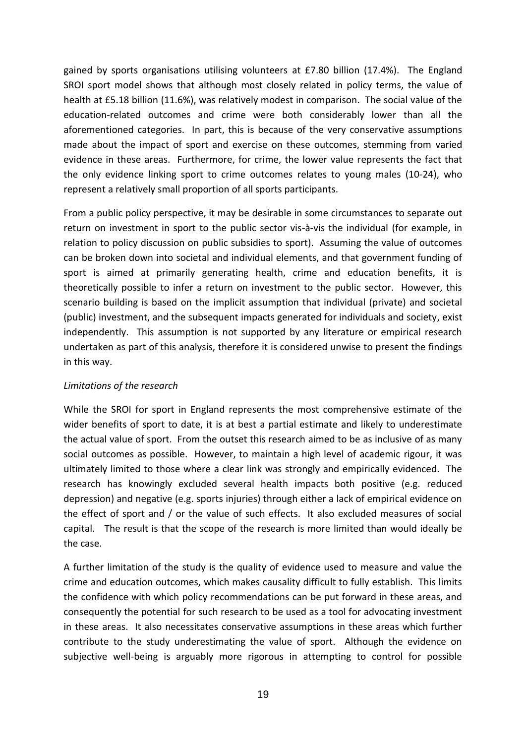gained by sports organisations utilising volunteers at £7.80 billion (17.4%). The England SROI sport model shows that although most closely related in policy terms, the value of health at £5.18 billion (11.6%), was relatively modest in comparison. The social value of the education-related outcomes and crime were both considerably lower than all the aforementioned categories. In part, this is because of the very conservative assumptions made about the impact of sport and exercise on these outcomes, stemming from varied evidence in these areas. Furthermore, for crime, the lower value represents the fact that the only evidence linking sport to crime outcomes relates to young males (10-24), who represent a relatively small proportion of all sports participants.

From a public policy perspective, it may be desirable in some circumstances to separate out return on investment in sport to the public sector vis-à-vis the individual (for example, in relation to policy discussion on public subsidies to sport). Assuming the value of outcomes can be broken down into societal and individual elements, and that government funding of sport is aimed at primarily generating health, crime and education benefits, it is theoretically possible to infer a return on investment to the public sector. However, this scenario building is based on the implicit assumption that individual (private) and societal (public) investment, and the subsequent impacts generated for individuals and society, exist independently. This assumption is not supported by any literature or empirical research undertaken as part of this analysis, therefore it is considered unwise to present the findings in this way.

# *Limitations of the research*

While the SROI for sport in England represents the most comprehensive estimate of the wider benefits of sport to date, it is at best a partial estimate and likely to underestimate the actual value of sport. From the outset this research aimed to be as inclusive of as many social outcomes as possible. However, to maintain a high level of academic rigour, it was ultimately limited to those where a clear link was strongly and empirically evidenced. The research has knowingly excluded several health impacts both positive (e.g. reduced depression) and negative (e.g. sports injuries) through either a lack of empirical evidence on the effect of sport and / or the value of such effects. It also excluded measures of social capital. The result is that the scope of the research is more limited than would ideally be the case.

A further limitation of the study is the quality of evidence used to measure and value the crime and education outcomes, which makes causality difficult to fully establish. This limits the confidence with which policy recommendations can be put forward in these areas, and consequently the potential for such research to be used as a tool for advocating investment in these areas. It also necessitates conservative assumptions in these areas which further contribute to the study underestimating the value of sport. Although the evidence on subjective well-being is arguably more rigorous in attempting to control for possible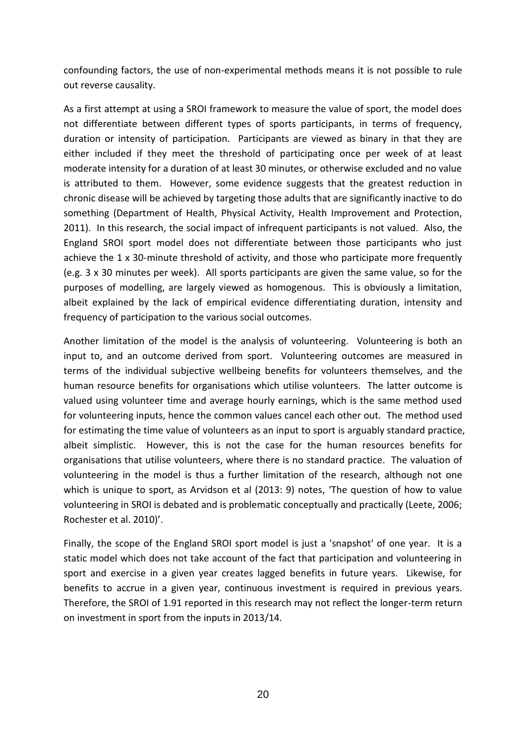confounding factors, the use of non-experimental methods means it is not possible to rule out reverse causality.

As a first attempt at using a SROI framework to measure the value of sport, the model does not differentiate between different types of sports participants, in terms of frequency, duration or intensity of participation. Participants are viewed as binary in that they are either included if they meet the threshold of participating once per week of at least moderate intensity for a duration of at least 30 minutes, or otherwise excluded and no value is attributed to them. However, some evidence suggests that the greatest reduction in chronic disease will be achieved by targeting those adults that are significantly inactive to do something (Department of Health, Physical Activity, Health Improvement and Protection, 2011). In this research, the social impact of infrequent participants is not valued. Also, the England SROI sport model does not differentiate between those participants who just achieve the 1 x 30-minute threshold of activity, and those who participate more frequently (e.g. 3 x 30 minutes per week). All sports participants are given the same value, so for the purposes of modelling, are largely viewed as homogenous. This is obviously a limitation, albeit explained by the lack of empirical evidence differentiating duration, intensity and frequency of participation to the various social outcomes.

Another limitation of the model is the analysis of volunteering. Volunteering is both an input to, and an outcome derived from sport. Volunteering outcomes are measured in terms of the individual subjective wellbeing benefits for volunteers themselves, and the human resource benefits for organisations which utilise volunteers. The latter outcome is valued using volunteer time and average hourly earnings, which is the same method used for volunteering inputs, hence the common values cancel each other out. The method used for estimating the time value of volunteers as an input to sport is arguably standard practice, albeit simplistic. However, this is not the case for the human resources benefits for organisations that utilise volunteers, where there is no standard practice. The valuation of volunteering in the model is thus a further limitation of the research, although not one which is unique to sport, as Arvidson et al (2013: 9) notes, 'The question of how to value volunteering in SROI is debated and is problematic conceptually and practically (Leete, 2006; Rochester et al. 2010)'.

Finally, the scope of the England SROI sport model is just a 'snapshot' of one year. It is a static model which does not take account of the fact that participation and volunteering in sport and exercise in a given year creates lagged benefits in future years. Likewise, for benefits to accrue in a given year, continuous investment is required in previous years. Therefore, the SROI of 1.91 reported in this research may not reflect the longer-term return on investment in sport from the inputs in 2013/14.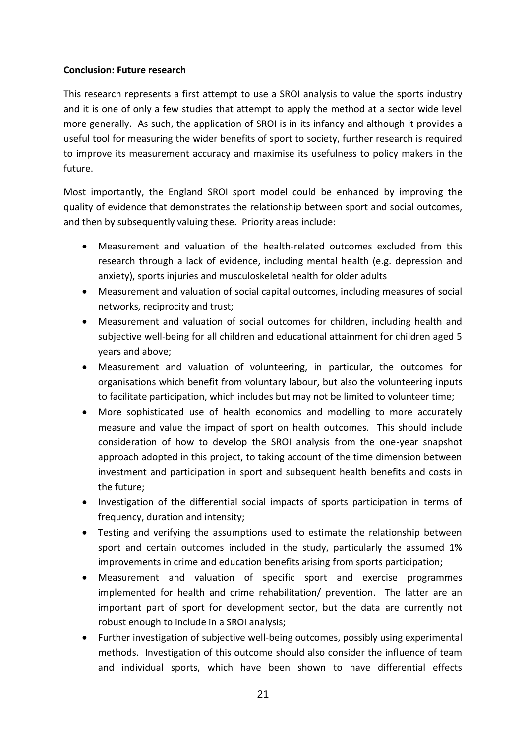## **Conclusion: Future research**

This research represents a first attempt to use a SROI analysis to value the sports industry and it is one of only a few studies that attempt to apply the method at a sector wide level more generally. As such, the application of SROI is in its infancy and although it provides a useful tool for measuring the wider benefits of sport to society, further research is required to improve its measurement accuracy and maximise its usefulness to policy makers in the future.

Most importantly, the England SROI sport model could be enhanced by improving the quality of evidence that demonstrates the relationship between sport and social outcomes, and then by subsequently valuing these. Priority areas include:

- Measurement and valuation of the health-related outcomes excluded from this research through a lack of evidence, including mental health (e.g. depression and anxiety), sports injuries and musculoskeletal health for older adults
- Measurement and valuation of social capital outcomes, including measures of social networks, reciprocity and trust;
- Measurement and valuation of social outcomes for children, including health and subjective well-being for all children and educational attainment for children aged 5 years and above;
- Measurement and valuation of volunteering, in particular, the outcomes for organisations which benefit from voluntary labour, but also the volunteering inputs to facilitate participation, which includes but may not be limited to volunteer time;
- More sophisticated use of health economics and modelling to more accurately measure and value the impact of sport on health outcomes. This should include consideration of how to develop the SROI analysis from the one-year snapshot approach adopted in this project, to taking account of the time dimension between investment and participation in sport and subsequent health benefits and costs in the future;
- Investigation of the differential social impacts of sports participation in terms of frequency, duration and intensity;
- Testing and verifying the assumptions used to estimate the relationship between sport and certain outcomes included in the study, particularly the assumed 1% improvements in crime and education benefits arising from sports participation;
- Measurement and valuation of specific sport and exercise programmes implemented for health and crime rehabilitation/ prevention. The latter are an important part of sport for development sector, but the data are currently not robust enough to include in a SROI analysis;
- Further investigation of subjective well-being outcomes, possibly using experimental methods. Investigation of this outcome should also consider the influence of team and individual sports, which have been shown to have differential effects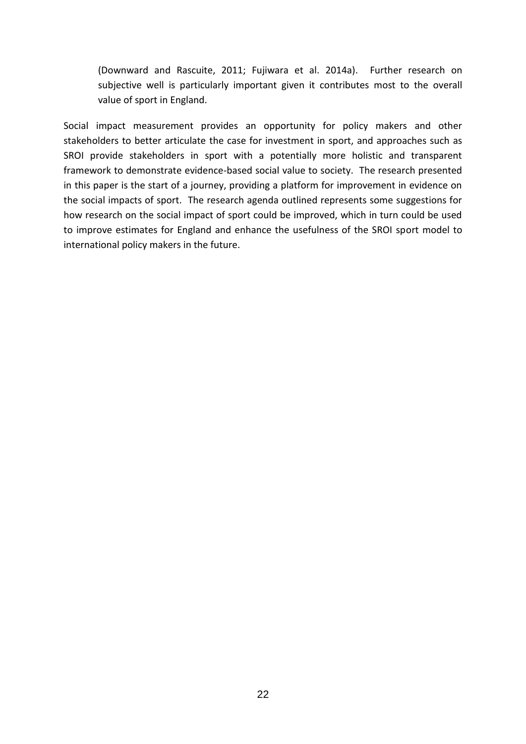(Downward and Rascuite, 2011; Fujiwara et al. 2014a). Further research on subjective well is particularly important given it contributes most to the overall value of sport in England.

Social impact measurement provides an opportunity for policy makers and other stakeholders to better articulate the case for investment in sport, and approaches such as SROI provide stakeholders in sport with a potentially more holistic and transparent framework to demonstrate evidence-based social value to society. The research presented in this paper is the start of a journey, providing a platform for improvement in evidence on the social impacts of sport. The research agenda outlined represents some suggestions for how research on the social impact of sport could be improved, which in turn could be used to improve estimates for England and enhance the usefulness of the SROI sport model to international policy makers in the future.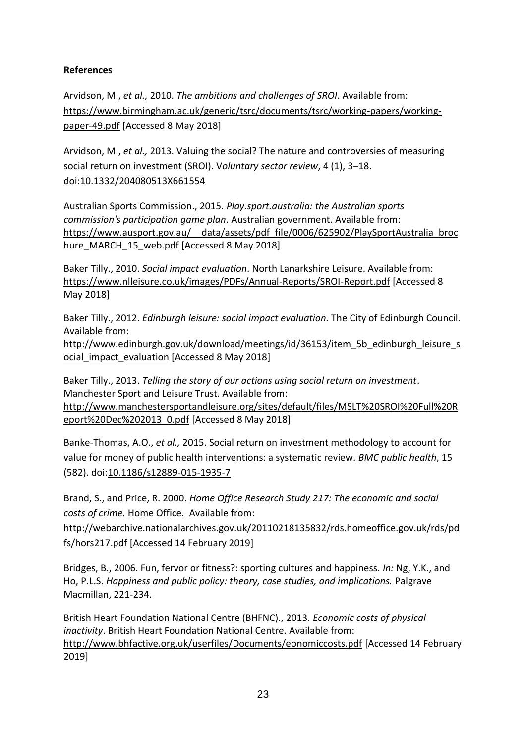# **References**

Arvidson, M., *et al.,* 2010. *The ambitions and challenges of SROI*. Available from: [https://www.birmingham.ac.uk/generic/tsrc/documents/tsrc/working-papers/working](https://www.birmingham.ac.uk/generic/tsrc/documents/tsrc/working-papers/working-paper-49.pdf)[paper-49.pdf](https://www.birmingham.ac.uk/generic/tsrc/documents/tsrc/working-papers/working-paper-49.pdf) [Accessed 8 May 2018]

Arvidson, M., *et al.,* 2013. Valuing the social? The nature and controversies of measuring social return on investment (SROI). V*oluntary sector review*, 4 (1), 3–18. doi[:10.1332/204080513X661554](http://10.0.5.52/204080513X661554)

Australian Sports Commission., 2015. *Play.sport.australia: the Australian sports commission's participation game plan*. Australian government. Available from: https://www.ausport.gov.au/ data/assets/pdf file/0006/625902/PlaySportAustralia\_broc [hure\\_MARCH\\_15\\_web.pdf](https://www.ausport.gov.au/__data/assets/pdf_file/0006/625902/PlaySportAustralia_brochure_MARCH_15_web.pdf) [Accessed 8 May 2018]

Baker Tilly., 2010. *Social impact evaluation*. North Lanarkshire Leisure. Available from: <https://www.nlleisure.co.uk/images/PDFs/Annual-Reports/SROI-Report.pdf> [Accessed 8 May 2018]

Baker Tilly., 2012. *Edinburgh leisure: social impact evaluation*. The City of Edinburgh Council. Available from:

[http://www.edinburgh.gov.uk/download/meetings/id/36153/item\\_5b\\_edinburgh\\_leisure\\_s](http://www.edinburgh.gov.uk/download/meetings/id/36153/item_5b_edinburgh_leisure_social_impact_evaluation) [ocial\\_impact\\_evaluation](http://www.edinburgh.gov.uk/download/meetings/id/36153/item_5b_edinburgh_leisure_social_impact_evaluation) [Accessed 8 May 2018]

Baker Tilly., 2013. *Telling the story of our actions using social return on investment*. Manchester Sport and Leisure Trust. Available from: [http://www.manchestersportandleisure.org/sites/default/files/MSLT%20SROI%20Full%20R](http://www.manchestersportandleisure.org/sites/default/files/MSLT%20SROI%20Full%20Report%20Dec%202013_0.pdf) [eport%20Dec%202013\\_0.pdf](http://www.manchestersportandleisure.org/sites/default/files/MSLT%20SROI%20Full%20Report%20Dec%202013_0.pdf) [Accessed 8 May 2018]

Banke-Thomas, A.O., *et al.,* 2015. Social return on investment methodology to account for value for money of public health interventions: a systematic review. *BMC public health*, 15 (582). doi[:10.1186/s12889-015-1935-7](https://doi.org/10.1186/s12889-015-1935-7)

Brand, S., and Price, R. 2000. *Home Office Research Study 217: The economic and social costs of crime.* Home Office. Available from:

[http://webarchive.nationalarchives.gov.uk/20110218135832/rds.homeoffice.gov.uk/rds/pd](http://webarchive.nationalarchives.gov.uk/20110218135832/rds.homeoffice.gov.uk/rds/pdfs/hors217.pdf) [fs/hors217.pdf](http://webarchive.nationalarchives.gov.uk/20110218135832/rds.homeoffice.gov.uk/rds/pdfs/hors217.pdf) [Accessed 14 February 2019]

Bridges, B., 2006. Fun, fervor or fitness?: sporting cultures and happiness. *In:* Ng, Y.K., and Ho, P.L.S. *Happiness and public policy: theory, case studies, and implications.* Palgrave Macmillan, 221-234.

British Heart Foundation National Centre (BHFNC)., 2013. *Economic costs of physical inactivity*. British Heart Foundation National Centre. Available from: <http://www.bhfactive.org.uk/userfiles/Documents/eonomiccosts.pdf> [Accessed 14 February 2019]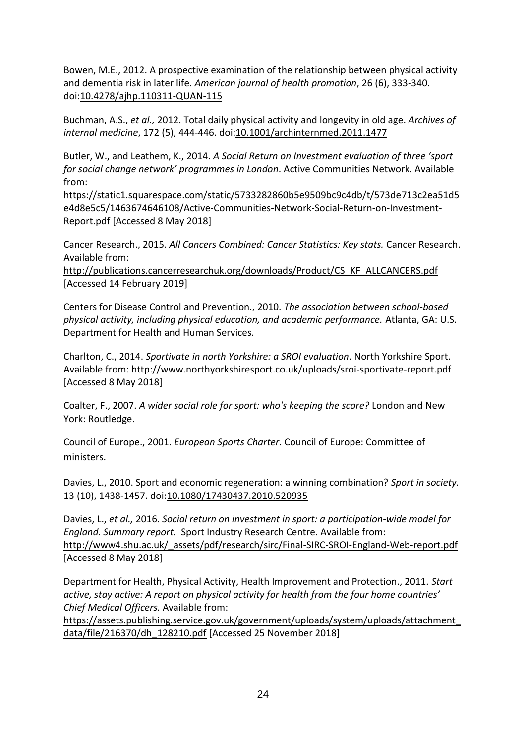Bowen, M.E., 2012. A prospective examination of the relationship between physical activity and dementia risk in later life. *American journal of health promotion*, 26 (6), 333-340. doi[:10.4278/ajhp.110311-QUAN-115](http://10.0.16.182/ajhp.110311-QUAN-115)

Buchman, A.S., *et al.,* 2012. Total daily physical activity and longevity in old age. *Archives of internal medicine*, 172 (5), 444-446. doi[:10.1001/archinternmed.2011.1477](http://10.0.3.233/archinternmed.2011.1477)

Butler, W., and Leathem, K., 2014. *A Social Return on Investment evaluation of three 'sport for social change network' programmes in London*. Active Communities Network. Available from:

[https://static1.squarespace.com/static/5733282860b5e9509bc9c4db/t/573de713c2ea51d5](https://static1.squarespace.com/static/5733282860b5e9509bc9c4db/t/573de713c2ea51d5e4d8e5c5/1463674646108/Active-Communities-Network-Social-Return-on-Investment-Report.pdf) [e4d8e5c5/1463674646108/Active-Communities-Network-Social-Return-on-Investment-](https://static1.squarespace.com/static/5733282860b5e9509bc9c4db/t/573de713c2ea51d5e4d8e5c5/1463674646108/Active-Communities-Network-Social-Return-on-Investment-Report.pdf)[Report.pdf](https://static1.squarespace.com/static/5733282860b5e9509bc9c4db/t/573de713c2ea51d5e4d8e5c5/1463674646108/Active-Communities-Network-Social-Return-on-Investment-Report.pdf) [Accessed 8 May 2018]

Cancer Research., 2015. *All Cancers Combined: Cancer Statistics: Key stats.* Cancer Research. Available from:

[http://publications.cancerresearchuk.org/downloads/Product/CS\\_KF\\_ALLCANCERS.pdf](http://publications.cancerresearchuk.org/downloads/Product/CS_KF_ALLCANCERS.pdf) [Accessed 14 February 2019]

Centers for Disease Control and Prevention., 2010. *The association between school-based physical activity, including physical education, and academic performance.* Atlanta, GA: U.S. Department for Health and Human Services.

Charlton, C., 2014. *Sportivate in north Yorkshire: a SROI evaluation*. North Yorkshire Sport. Available from:<http://www.northyorkshiresport.co.uk/uploads/sroi-sportivate-report.pdf> [Accessed 8 May 2018]

Coalter, F., 2007. *A wider social role for sport: who's keeping the score?* London and New York: Routledge.

Council of Europe., 2001. *European Sports Charter*. Council of Europe: Committee of ministers.

Davies, L., 2010. Sport and economic regeneration: a winning combination? *Sport in society.*  13 (10), 1438-1457. doi[:10.1080/17430437.2010.520935](http://doi.org/10.1080/17430437.2010.520935)

Davies, L., *et al.,* 2016. *Social return on investment in sport: a participation-wide model for England. Summary report.* Sport Industry Research Centre. Available from: [http://www4.shu.ac.uk/\\_assets/pdf/research/sirc/Final-SIRC-SROI-England-Web-report.pdf](http://www4.shu.ac.uk/_assets/pdf/research/sirc/Final-SIRC-SROI-England-Web-report.pdf) [Accessed 8 May 2018]

Department for Health, Physical Activity, Health Improvement and Protection., 2011. *Start active, stay active: A report on physical activity for health from the four home countries' Chief Medical Officers.* Available from:

[https://assets.publishing.service.gov.uk/government/uploads/system/uploads/attachment\\_](https://assets.publishing.service.gov.uk/government/uploads/system/uploads/attachment_data/file/216370/dh_128210.pdf) [data/file/216370/dh\\_128210.pdf](https://assets.publishing.service.gov.uk/government/uploads/system/uploads/attachment_data/file/216370/dh_128210.pdf) [Accessed 25 November 2018]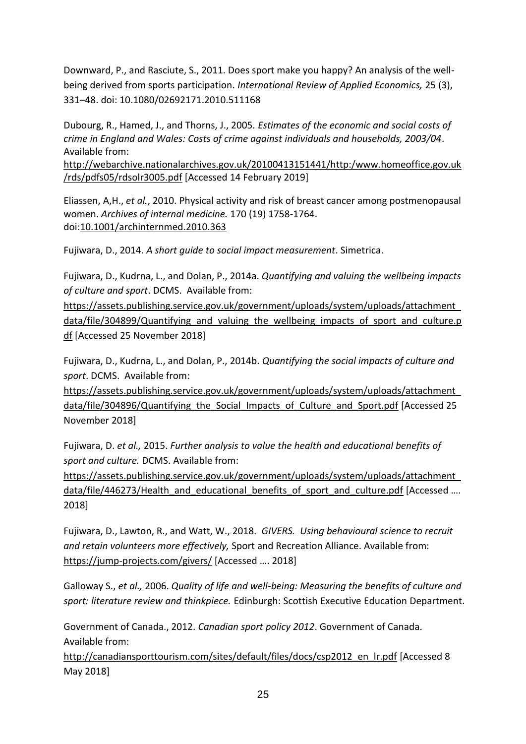Downward, P., and Rasciute, S., 2011. Does sport make you happy? An analysis of the wellbeing derived from sports participation. *International Review of Applied Economics,* 25 (3), 331–48. doi: 10.1080/02692171.2010.511168

Dubourg, R., Hamed, J., and Thorns, J., 2005. *Estimates of the economic and social costs of crime in England and Wales: Costs of crime against individuals and households, 2003/04*. Available from:

[http://webarchive.nationalarchives.gov.uk/20100413151441/http:/www.homeoffice.gov.uk](http://webarchive.nationalarchives.gov.uk/20100413151441/http:/www.homeoffice.gov.uk/rds/pdfs05/rdsolr3005.pdf) [/rds/pdfs05/rdsolr3005.pdf](http://webarchive.nationalarchives.gov.uk/20100413151441/http:/www.homeoffice.gov.uk/rds/pdfs05/rdsolr3005.pdf) [Accessed 14 February 2019]

Eliassen, A,H., *et al.*, 2010. Physical activity and risk of breast cancer among postmenopausal women. *Archives of internal medicine.* 170 (19) 1758-1764. doi[:10.1001/archinternmed.2010.363](http://10.0.3.233/archinternmed.2010.363) 

Fujiwara, D., 2014. *A short guide to social impact measurement*. Simetrica.

Fujiwara, D., Kudrna, L., and Dolan, P., 2014a. *Quantifying and valuing the wellbeing impacts of culture and sport*. DCMS. Available from:

[https://assets.publishing.service.gov.uk/government/uploads/system/uploads/attachment\\_](https://assets.publishing.service.gov.uk/government/uploads/system/uploads/attachment_data/file/304899/Quantifying_and_valuing_the_wellbeing_impacts_of_sport_and_culture.pdf) data/file/304899/Quantifying and valuing the wellbeing impacts of sport and culture.p [df](https://assets.publishing.service.gov.uk/government/uploads/system/uploads/attachment_data/file/304899/Quantifying_and_valuing_the_wellbeing_impacts_of_sport_and_culture.pdf) [Accessed 25 November 2018]

Fujiwara, D., Kudrna, L., and Dolan, P., 2014b. *Quantifying the social impacts of culture and sport*. DCMS. Available from:

[https://assets.publishing.service.gov.uk/government/uploads/system/uploads/attachment\\_](https://assets.publishing.service.gov.uk/government/uploads/system/uploads/attachment_data/file/304896/Quantifying_the_Social_Impacts_of_Culture_and_Sport.pdf) data/file/304896/Quantifying the Social Impacts of Culture and Sport.pdf [Accessed 25 November 2018]

Fujiwara, D. *et al.,* 2015. *Further analysis to value the health and educational benefits of sport and culture.* DCMS. Available from:

[https://assets.publishing.service.gov.uk/government/uploads/system/uploads/attachment\\_](https://assets.publishing.service.gov.uk/government/uploads/system/uploads/attachment_data/file/446273/Health_and_educational_benefits_of_sport_and_culture.pdf) [data/file/446273/Health\\_and\\_educational\\_benefits\\_of\\_sport\\_and\\_culture.pdf](https://assets.publishing.service.gov.uk/government/uploads/system/uploads/attachment_data/file/446273/Health_and_educational_benefits_of_sport_and_culture.pdf) [Accessed .... 2018]

Fujiwara, D., Lawton, R., and Watt, W., 2018. *GIVERS. Using behavioural science to recruit and retain volunteers more effectively,* Sport and Recreation Alliance. Available from: <https://jump-projects.com/givers/> [Accessed …. 2018]

Galloway S., *et al.,* 2006. *Quality of life and well-being: Measuring the benefits of culture and sport: literature review and thinkpiece.* Edinburgh: Scottish Executive Education Department.

Government of Canada., 2012. *Canadian sport policy 2012*. Government of Canada. Available from:

[http://canadiansporttourism.com/sites/default/files/docs/csp2012\\_en\\_lr.pdf](http://canadiansporttourism.com/sites/default/files/docs/csp2012_en_lr.pdf) [Accessed 8 May 2018]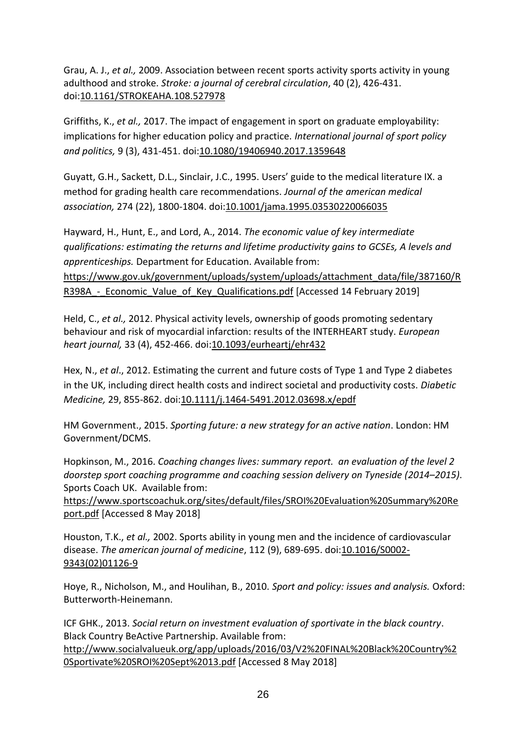Grau, A. J., *et al.,* 2009. Association between recent sports activity sports activity in young adulthood and stroke. *Stroke: a journal of cerebral circulation*, 40 (2), 426-431. doi[:10.1161/STROKEAHA.108.527978](http://10.0.4.137/STROKEAHA.108.527978)

Griffiths, K., *et al.,* 2017. The impact of engagement in sport on graduate employability: implications for higher education policy and practice. *International journal of sport policy and politics,* 9 (3), 431-451. doi[:10.1080/19406940.2017.1359648](https://doi.org/10.1080/19406940.2017.1359648)

Guyatt, G.H., Sackett, D.L., Sinclair, J.C., 1995. Users' guide to the medical literature IX. a method for grading health care recommendations. *Journal of the american medical association,* 274 (22), 1800-1804. doi[:10.1001/jama.1995.03530220066035](http://10.0.3.233/jama.1995.03530220066035)

Hayward, H., Hunt, E., and Lord, A., 2014. *The economic value of key intermediate qualifications: estimating the returns and lifetime productivity gains to GCSEs, A levels and apprenticeships.* Department for Education. Available from: [https://www.gov.uk/government/uploads/system/uploads/attachment\\_data/file/387160/R](https://www.gov.uk/government/uploads/system/uploads/attachment_data/file/387160/RR398A_-_Economic_Value_of_Key_Qualifications.pdf) R398A - Economic Value of Key Qualifications.pdf [Accessed 14 February 2019]

Held, C., *et al.,* 2012. Physical activity levels, ownership of goods promoting sedentary behaviour and risk of myocardial infarction: results of the INTERHEART study. *European heart journal,* 33 (4), 452-466. doi[:10.1093/eurheartj/ehr432](http://10.0.4.69/eurheartj/ehr432)

Hex, N., *et al*., 2012. Estimating the current and future costs of Type 1 and Type 2 diabetes in the UK, including direct health costs and indirect societal and productivity costs. *Diabetic Medicine,* 29, 855-862. [doi:10.1111/j.1464-5491.2012.03698.x/epdf](http://onlinelibrary.wiley.com/doi/10.1111/j.1464-5491.2012.03698.x/epdf)

HM Government., 2015. *Sporting future: a new strategy for an active nation*. London: HM Government/DCMS.

Hopkinson, M., 2016. *Coaching changes lives: summary report. an evaluation of the level 2 doorstep sport coaching programme and coaching session delivery on Tyneside (2014–2015)*. Sports Coach UK. Available from:

[https://www.sportscoachuk.org/sites/default/files/SROI%20Evaluation%20Summary%20Re](https://www.sportscoachuk.org/sites/default/files/SROI%20Evaluation%20Summary%20Report.pdf) [port.pdf](https://www.sportscoachuk.org/sites/default/files/SROI%20Evaluation%20Summary%20Report.pdf) [Accessed 8 May 2018]

Houston, T.K., *et al.,* 2002. Sports ability in young men and the incidence of cardiovascular disease. *The american journal of medicine*, 112 (9), 689-695. doi[:10.1016/S0002-](https://doi.org/10.1016/S0002-9343(02)01126-9) [9343\(02\)01126-9](https://doi.org/10.1016/S0002-9343(02)01126-9)

Hoye, R., Nicholson, M., and Houlihan, B., 2010. *Sport and policy: issues and analysis.* Oxford: Butterworth-Heinemann.

ICF GHK., 2013. *Social return on investment evaluation of sportivate in the black country*. Black Country BeActive Partnership. Available from: [http://www.socialvalueuk.org/app/uploads/2016/03/V2%20FINAL%20Black%20Country%2](http://www.socialvalueuk.org/app/uploads/2016/03/V2%20FINAL%20Black%20Country%20Sportivate%20SROI%20Sept%2013.pdf) [0Sportivate%20SROI%20Sept%2013.pdf](http://www.socialvalueuk.org/app/uploads/2016/03/V2%20FINAL%20Black%20Country%20Sportivate%20SROI%20Sept%2013.pdf) [Accessed 8 May 2018]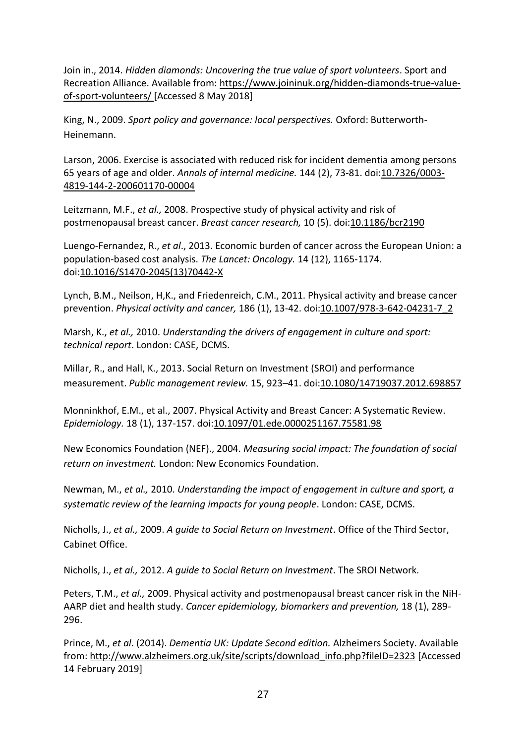Join in., 2014. *Hidden diamonds: Uncovering the true value of sport volunteers*. Sport and Recreation Alliance. Available from: [https://www.joininuk.org/hidden-diamonds-true-value](https://www.joininuk.org/hidden-diamonds-true-value-of-sport-volunteers/)[of-sport-volunteers/](https://www.joininuk.org/hidden-diamonds-true-value-of-sport-volunteers/) [Accessed 8 May 2018]

King, N., 2009. *Sport policy and governance: local perspectives.* Oxford: Butterworth-Heinemann.

Larson, 2006. Exercise is associated with reduced risk for incident dementia among persons 65 years of age and older. *Annals of internal medicine.* 144 (2), 73-81. doi[:10.7326/0003-](https://www.google.com/search?client=safari&rls=en&q=10.7326/0003-4819-144-2-200601170-00004&ie=UTF-8&oe=UTF-8) [4819-144-2-200601170-00004](https://www.google.com/search?client=safari&rls=en&q=10.7326/0003-4819-144-2-200601170-00004&ie=UTF-8&oe=UTF-8)

Leitzmann, M.F., *et al.,* 2008. Prospective study of physical activity and risk of postmenopausal breast cancer. *Breast cancer research,* 10 (5). doi[:10.1186/bcr2190](http://10.0.4.162/bcr2190)

Luengo-Fernandez, R., *et al*., 2013. Economic burden of cancer across the European Union: a population-based cost analysis. *The Lancet: Oncology.* 14 (12), 1165-1174. doi[:10.1016/S1470-2045\(13\)70442-X](https://doi.org/10.1016/S1470-2045(13)70442-X)

Lynch, B.M., Neilson, H,K., and Friedenreich, C.M., 2011. Physical activity and brease cancer prevention. *Physical activity and cancer,* 186 (1), 13-42. doi[:10.1007/978-3-642-04231-7\\_2](https://www.google.com/search?client=safari&rls=en&q=10.1007/978-3-642-04231-7_2&ie=UTF-8&oe=UTF-8)

Marsh, K., *et al.,* 2010. *Understanding the drivers of engagement in culture and sport: technical report*. London: CASE, DCMS.

Millar, R., and Hall, K., 2013. Social Return on Investment (SROI) and performance measurement. *Public management review.* 15, 923–41. doi[:10.1080/14719037.2012.698857](https://doi.org/10.1080/14719037.2012.698857)

Monninkhof, E.M., et al., 2007. Physical Activity and Breast Cancer: A Systematic Review. *Epidemiology.* 18 (1), 137-157. doi[:10.1097/01.ede.0000251167.75581.98](http://10.0.4.73/01.ede.0000251167.75581.98)

New Economics Foundation (NEF)., 2004. *Measuring social impact: The foundation of social return on investment.* London: New Economics Foundation.

Newman, M., *et al.,* 2010. *Understanding the impact of engagement in culture and sport, a systematic review of the learning impacts for young people*. London: CASE, DCMS.

Nicholls, J., *et al.,* 2009. *A guide to Social Return on Investment*. Office of the Third Sector, Cabinet Office.

Nicholls, J., *et al.,* 2012. *A guide to Social Return on Investment*. The SROI Network.

Peters, T.M., *et al.,* 2009. Physical activity and postmenopausal breast cancer risk in the NiH-AARP diet and health study. *Cancer epidemiology, biomarkers and prevention,* 18 (1), 289- 296.

Prince, M., *et al*. (2014). *Dementia UK: Update Second edition.* Alzheimers Society. Available from[: http://www.alzheimers.org.uk/site/scripts/download\\_info.php?fileID=2323](http://www.alzheimers.org.uk/site/scripts/download_info.php?fileID=2323) [Accessed 14 February 2019]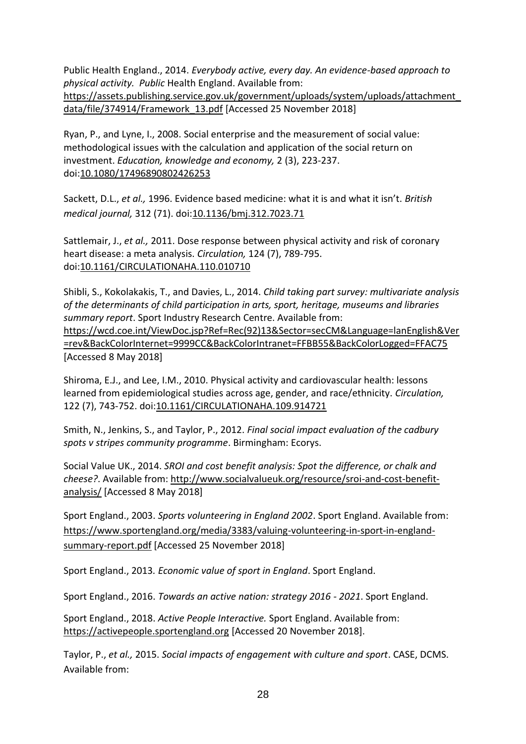Public Health England., 2014. *Everybody active, every day. An evidence-based approach to physical activity. Public* Health England. Available from: [https://assets.publishing.service.gov.uk/government/uploads/system/uploads/attachment\\_](https://assets.publishing.service.gov.uk/government/uploads/system/uploads/attachment_data/file/374914/Framework_13.pdf) [data/file/374914/Framework\\_13.pdf](https://assets.publishing.service.gov.uk/government/uploads/system/uploads/attachment_data/file/374914/Framework_13.pdf) [Accessed 25 November 2018]

Ryan, P., and Lyne, I., 2008. Social enterprise and the measurement of social value: methodological issues with the calculation and application of the social return on investment. *Education, knowledge and economy,* 2 (3), 223-237. doi[:10.1080/17496890802426253](https://doi.org/10.1080/17496890802426253)

Sackett, D.L., *et al.,* 1996. Evidence based medicine: what it is and what it isn't. *British medical journal,* 312 (71). doi[:10.1136/bmj.312.7023.71](http://10.0.4.112/bmj.312.7023.71)

Sattlemair, J., *et al.,* 2011. Dose response between physical activity and risk of coronary heart disease: a meta analysis. *Circulation,* 124 (7), 789-795. doi[:10.1161/CIRCULATIONAHA.110.010710](http://10.0.4.137/CIRCULATIONAHA.110.010710)

Shibli, S., Kokolakakis, T., and Davies, L., 2014. *Child taking part survey: multivariate analysis of the determinants of child participation in arts, sport, heritage, museums and libraries summary report*. Sport Industry Research Centre. Available from: [https://wcd.coe.int/ViewDoc.jsp?Ref=Rec\(92\)13&Sector=secCM&Language=lanEnglish&Ver](https://wcd.coe.int/ViewDoc.jsp?Ref=Rec(92)13&Sector=secCM&Language=lanEnglish&Ver=rev&BackColorInternet=9999CC&BackColorIntranet=FFBB55&BackColorLogged=FFAC75) [=rev&BackColorInternet=9999CC&BackColorIntranet=FFBB55&BackColorLogged=FFAC75](https://wcd.coe.int/ViewDoc.jsp?Ref=Rec(92)13&Sector=secCM&Language=lanEnglish&Ver=rev&BackColorInternet=9999CC&BackColorIntranet=FFBB55&BackColorLogged=FFAC75) [Accessed 8 May 2018]

Shiroma, E.J., and Lee, I.M., 2010. Physical activity and cardiovascular health: lessons learned from epidemiological studies across age, gender, and race/ethnicity. *Circulation,*  122 (7), 743-752. doi[:10.1161/CIRCULATIONAHA.109.914721](http://10.0.4.137/CIRCULATIONAHA.109.914721)

Smith, N., Jenkins, S., and Taylor, P., 2012. *Final social impact evaluation of the cadbury spots v stripes community programme*. Birmingham: Ecorys.

Social Value UK., 2014. *SROI and cost benefit analysis: Spot the difference, or chalk and cheese?*. Available from: [http://www.socialvalueuk.org/resource/sroi-and-cost-benefit](http://www.socialvalueuk.org/resource/sroi-and-cost-benefit-analysis/)[analysis/](http://www.socialvalueuk.org/resource/sroi-and-cost-benefit-analysis/) [Accessed 8 May 2018]

Sport England., 2003. *Sports volunteering in England 2002*. Sport England. Available from: [https://www.sportengland.org/media/3383/valuing-volunteering-in-sport-in-england](https://www.sportengland.org/media/3383/valuing-volunteering-in-sport-in-england-summary-report.pdf)[summary-report.pdf](https://www.sportengland.org/media/3383/valuing-volunteering-in-sport-in-england-summary-report.pdf) [Accessed 25 November 2018]

Sport England., 2013*. Economic value of sport in England*. Sport England.

Sport England., 2016. *Towards an active nation: strategy 2016 - 2021*. Sport England.

Sport England., 2018. *Active People Interactive.* Sport England. Available from: [https://activepeople.sportengland.org](https://activepeople.sportengland.org/) [Accessed 20 November 2018].

Taylor, P., *et al.,* 2015. *Social impacts of engagement with culture and sport*. CASE, DCMS. Available from: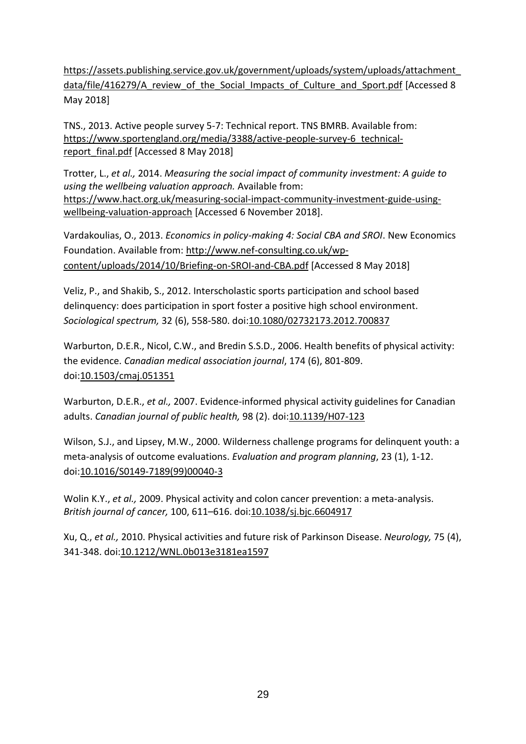[https://assets.publishing.service.gov.uk/government/uploads/system/uploads/attachment\\_](https://assets.publishing.service.gov.uk/government/uploads/system/uploads/attachment_data/file/416279/A_review_of_the_Social_Impacts_of_Culture_and_Sport.pdf) [data/file/416279/A\\_review\\_of\\_the\\_Social\\_Impacts\\_of\\_Culture\\_and\\_Sport.pdf](https://assets.publishing.service.gov.uk/government/uploads/system/uploads/attachment_data/file/416279/A_review_of_the_Social_Impacts_of_Culture_and_Sport.pdf) [Accessed 8 May 2018]

TNS., 2013. Active people survey 5-7: Technical report. TNS BMRB. Available from: [https://www.sportengland.org/media/3388/active-people-survey-6\\_technical](https://www.sportengland.org/media/3388/active-people-survey-6_technical-report_final.pdf)report final.pdf [Accessed 8 May 2018]

Trotter, L., *et al.,* 2014. *Measuring the social impact of community investment: A guide to using the wellbeing valuation approach.* Available from: [https://www.hact.org.uk/measuring-social-impact-community-investment-guide-using](https://www.hact.org.uk/measuring-social-impact-community-investment-guide-using-wellbeing-valuation-approach)[wellbeing-valuation-approach](https://www.hact.org.uk/measuring-social-impact-community-investment-guide-using-wellbeing-valuation-approach) [Accessed 6 November 2018].

Vardakoulias, O., 2013. *Economics in policy-making 4: Social CBA and SROI*. New Economics Foundation. Available from: [http://www.nef-consulting.co.uk/wp](http://www.nef-consulting.co.uk/wp-content/uploads/2014/10/Briefing-on-SROI-and-CBA.pdf)[content/uploads/2014/10/Briefing-on-SROI-and-CBA.pdf](http://www.nef-consulting.co.uk/wp-content/uploads/2014/10/Briefing-on-SROI-and-CBA.pdf) [Accessed 8 May 2018]

Veliz, P., and Shakib, S., 2012. Interscholastic sports participation and school based delinquency: does participation in sport foster a positive high school environment. *Sociological spectrum,* 32 (6), 558-580. doi[:10.1080/02732173.2012.700837](https://doi.org/10.1080/02732173.2012.700837)

Warburton, D.E.R., Nicol, C.W., and Bredin S.S.D., 2006. Health benefits of physical activity: the evidence. *Canadian medical association journal*, 174 (6), 801-809. doi[:10.1503/cmaj.051351](https://dx.doi.org/10.1503%2Fcmaj.051351)

Warburton, D.E.R., *et al.,* 2007. Evidence-informed physical activity guidelines for Canadian adults. *Canadian journal of public health,* 98 (2). doi[:10.1139/H07-123](https://doi.org/10.1139/H07-123)

Wilson, S.J., and Lipsey, M.W., 2000. Wilderness challenge programs for delinquent youth: a meta-analysis of outcome evaluations. *Evaluation and program planning*, 23 (1), 1-12. doi[:10.1016/S0149-7189\(99\)00040-3](https://doi.org/10.1016/S0149-7189(99)00040-3)

Wolin K.Y., *et al.,* 2009. Physical activity and colon cancer prevention: a meta-analysis. *British journal of cancer,* 100, 611–616. doi[:10.1038/sj.bjc.6604917](http://10.0.4.14/sj.bjc.6604917)

Xu, Q., *et al.,* 2010. Physical activities and future risk of Parkinson Disease. *Neurology,* 75 (4), 341-348. doi[:10.1212/WNL.0b013e3181ea1597](http://10.0.4.188/WNL.0b013e3181ea1597)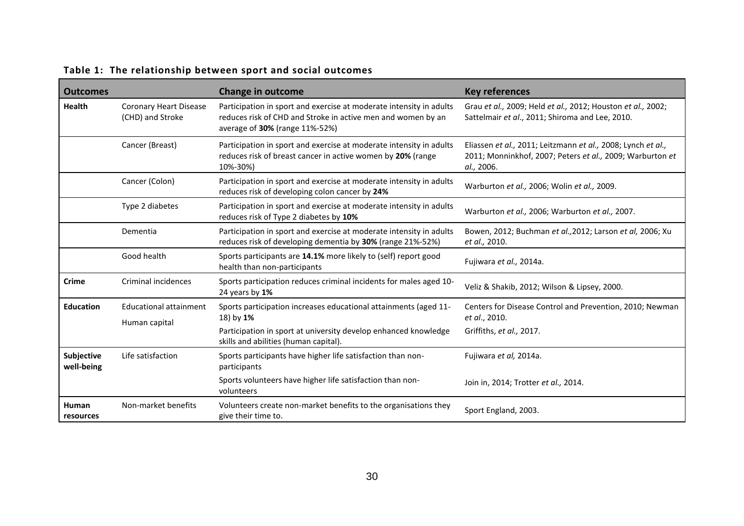| <b>Outcomes</b>                 |                                                   | <b>Change in outcome</b>                                                                                                                                              | <b>Key references</b>                                                                                                                   |  |
|---------------------------------|---------------------------------------------------|-----------------------------------------------------------------------------------------------------------------------------------------------------------------------|-----------------------------------------------------------------------------------------------------------------------------------------|--|
| <b>Health</b>                   | <b>Coronary Heart Disease</b><br>(CHD) and Stroke | Participation in sport and exercise at moderate intensity in adults<br>reduces risk of CHD and Stroke in active men and women by an<br>average of 30% (range 11%-52%) | Grau et al., 2009; Held et al., 2012; Houston et al., 2002;<br>Sattelmair et al., 2011; Shiroma and Lee, 2010.                          |  |
|                                 | Cancer (Breast)                                   | Participation in sport and exercise at moderate intensity in adults<br>reduces risk of breast cancer in active women by 20% (range<br>10%-30%)                        | Eliassen et al., 2011; Leitzmann et al., 2008; Lynch et al.,<br>2011; Monninkhof, 2007; Peters et al., 2009; Warburton et<br>al., 2006. |  |
|                                 | Cancer (Colon)                                    | Participation in sport and exercise at moderate intensity in adults<br>reduces risk of developing colon cancer by 24%                                                 | Warburton et al., 2006; Wolin et al., 2009.                                                                                             |  |
|                                 | Type 2 diabetes                                   | Participation in sport and exercise at moderate intensity in adults<br>reduces risk of Type 2 diabetes by 10%                                                         | Warburton et al., 2006; Warburton et al., 2007.                                                                                         |  |
|                                 | Dementia                                          | Participation in sport and exercise at moderate intensity in adults<br>reduces risk of developing dementia by 30% (range 21%-52%)                                     | Bowen, 2012; Buchman et al., 2012; Larson et al, 2006; Xu<br>et al., 2010.                                                              |  |
|                                 | Good health                                       | Sports participants are 14.1% more likely to (self) report good<br>health than non-participants                                                                       | Fujiwara et al., 2014a.                                                                                                                 |  |
| <b>Crime</b>                    | Criminal incidences                               | Sports participation reduces criminal incidents for males aged 10-<br>24 years by 1%                                                                                  | Veliz & Shakib, 2012; Wilson & Lipsey, 2000.                                                                                            |  |
| <b>Education</b>                | <b>Educational attainment</b>                     | Sports participation increases educational attainments (aged 11-                                                                                                      | Centers for Disease Control and Prevention, 2010; Newman                                                                                |  |
|                                 | Human capital                                     | 18) by 1%                                                                                                                                                             | et al., 2010.                                                                                                                           |  |
|                                 |                                                   | Participation in sport at university develop enhanced knowledge<br>skills and abilities (human capital).                                                              | Griffiths, et al., 2017.                                                                                                                |  |
| <b>Subjective</b><br>well-being | Life satisfaction                                 | Sports participants have higher life satisfaction than non-<br>participants                                                                                           | Fujiwara et al, 2014a.                                                                                                                  |  |
|                                 |                                                   | Sports volunteers have higher life satisfaction than non-<br>volunteers                                                                                               | Join in, 2014; Trotter et al., 2014.                                                                                                    |  |
| <b>Human</b><br>resources       | Non-market benefits                               | Volunteers create non-market benefits to the organisations they<br>give their time to.                                                                                | Sport England, 2003.                                                                                                                    |  |

# **Table 1: The relationship between sport and social outcomes**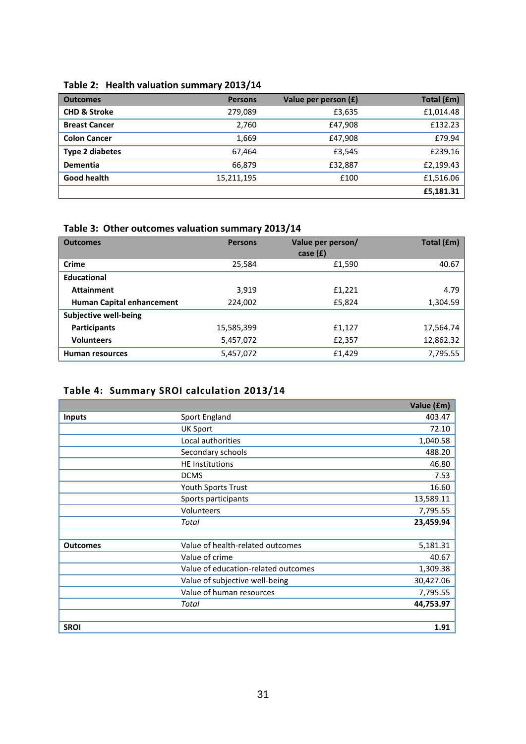|  |  | Table 2: Health valuation summary 2013/14 |
|--|--|-------------------------------------------|
|--|--|-------------------------------------------|

| <b>Outcomes</b>         | <b>Persons</b> | Value per person $(f)$ | Total (£m) |
|-------------------------|----------------|------------------------|------------|
| <b>CHD &amp; Stroke</b> | 279,089        | £3,635                 | £1,014.48  |
| <b>Breast Cancer</b>    | 2,760          | £47,908                | £132.23    |
| <b>Colon Cancer</b>     | 1,669          | £47,908                | £79.94     |
| <b>Type 2 diabetes</b>  | 67,464         | £3,545                 | £239.16    |
| <b>Dementia</b>         | 66,879         | £32,887                | £2,199.43  |
| <b>Good health</b>      | 15,211,195     | £100                   | £1,516.06  |
|                         |                |                        | £5,181.31  |

|  | Table 3: Other outcomes valuation summary 2013/14 |  |  |  |  |
|--|---------------------------------------------------|--|--|--|--|
|--|---------------------------------------------------|--|--|--|--|

| <b>Outcomes</b>              | <b>Persons</b> | Value per person/<br>case $(f)$ | Total (£m) |
|------------------------------|----------------|---------------------------------|------------|
| <b>Crime</b>                 | 25,584         | £1,590                          | 40.67      |
| Educational                  |                |                                 |            |
| <b>Attainment</b>            | 3,919          | £1,221                          | 4.79       |
| Human Capital enhancement    | 224,002        | £5,824                          | 1,304.59   |
| <b>Subjective well-being</b> |                |                                 |            |
| <b>Participants</b>          | 15,585,399     | £1,127                          | 17,564.74  |
| <b>Volunteers</b>            | 5,457,072      | £2,357                          | 12,862.32  |
| <b>Human resources</b>       | 5,457,072      | £1,429                          | 7,795.55   |

# **Table 4: Summary SROI calculation 2013/14**

|                 |                                     | Value (£m) |
|-----------------|-------------------------------------|------------|
| <b>Inputs</b>   | Sport England                       | 403.47     |
|                 | <b>UK Sport</b>                     | 72.10      |
|                 | Local authorities                   | 1,040.58   |
|                 | Secondary schools                   | 488.20     |
|                 | <b>HE Institutions</b>              | 46.80      |
|                 | <b>DCMS</b>                         | 7.53       |
|                 | Youth Sports Trust                  | 16.60      |
|                 | Sports participants                 | 13,589.11  |
|                 | Volunteers                          | 7,795.55   |
|                 | Total                               | 23,459.94  |
|                 |                                     |            |
| <b>Outcomes</b> | Value of health-related outcomes    | 5,181.31   |
|                 | Value of crime                      | 40.67      |
|                 | Value of education-related outcomes | 1,309.38   |
|                 | Value of subjective well-being      | 30,427.06  |
|                 | Value of human resources            | 7,795.55   |
|                 | Total                               | 44,753.97  |
|                 |                                     |            |
| <b>SROI</b>     |                                     | 1.91       |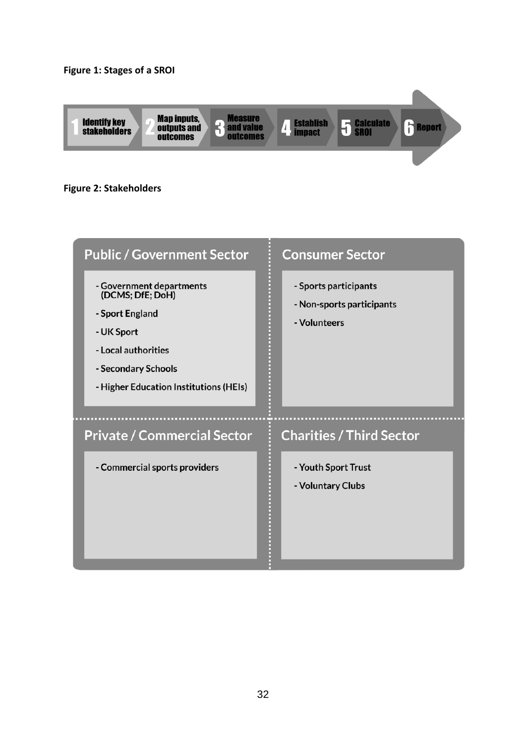#### **Figure 1: Stages of a SROI**



#### **Figure 2: Stakeholders**